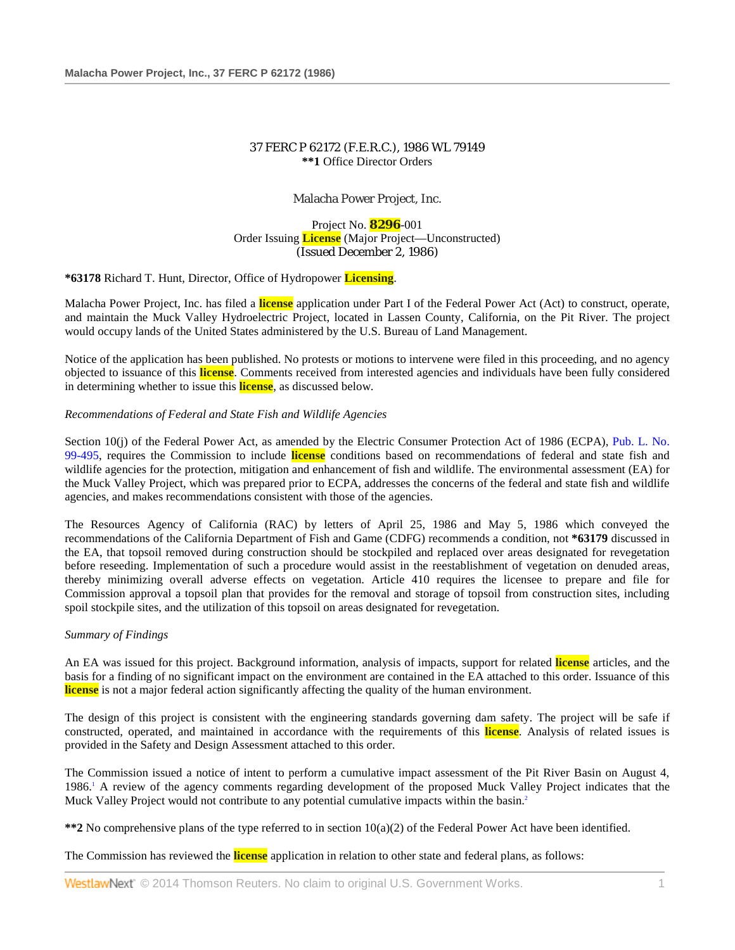# 37 FERC P 62172 (F.E.R.C.), 1986 WL 79149 **\*\*1** Office Director Orders

Malacha Power Project, Inc.

Project No. **8296**-001 Order Issuing **License** (Major Project—Unconstructed) (Issued December 2, 1986)

**\*63178** Richard T. Hunt, Director, Office of Hydropower **Licensing**.

Malacha Power Project, Inc. has filed a **license** application under Part I of the Federal Power Act (Act) to construct, operate, and maintain the Muck Valley Hydroelectric Project, located in Lassen County, California, on the Pit River. The project would occupy lands of the United States administered by the U.S. Bureau of Land Management.

Notice of the application has been published. No protests or motions to intervene were filed in this proceeding, and no agency objected to issuance of this **license**. Comments received from interested agencies and individuals have been fully considered in determining whether to issue this **license**, as discussed below.

# *Recommendations of Federal and State Fish and Wildlife Agencies*

Section 10(j) of the Federal Power Act, as amended by the Electric Consumer Protection Act of 1986 (ECPA), Pub. L. No. [99-495,](http://www.westlaw.com/Link/Document/FullText?findType=l&pubNum=1077005&cite=UUID(ICFF724D400-5B4FF7808DC-D8FAC003C31)&originationContext=document&vr=3.0&rs=cblt1.0&transitionType=DocumentItem&contextData=(sc.Search)) requires the Commission to include **license** conditions based on recommendations of federal and state fish and wildlife agencies for the protection, mitigation and enhancement of fish and wildlife. The environmental assessment (EA) for the Muck Valley Project, which was prepared prior to ECPA, addresses the concerns of the federal and state fish and wildlife agencies, and makes recommendations consistent with those of the agencies.

The Resources Agency of California (RAC) by letters of April 25, 1986 and May 5, 1986 which conveyed the recommendations of the California Department of Fish and Game (CDFG) recommends a condition, not **\*63179** discussed in the EA, that topsoil removed during construction should be stockpiled and replaced over areas designated for revegetation before reseeding. Implementation of such a procedure would assist in the reestablishment of vegetation on denuded areas, thereby minimizing overall adverse effects on vegetation. Article 410 requires the licensee to prepare and file for Commission approval a topsoil plan that provides for the removal and storage of topsoil from construction sites, including spoil stockpile sites, and the utilization of this topsoil on areas designated for revegetation.

### *Summary of Findings*

An EA was issued for this project. Background information, analysis of impacts, support for related **license** articles, and the basis for a finding of no significant impact on the environment are contained in the EA attached to this order. Issuance of this **license** is not a major federal action significantly affecting the quality of the human environment.

The design of this project is consistent with the engineering standards governing dam safety. The project will be safe if constructed, operated, and maintained in accordance with the requirements of this **license**. Analysis of related issues is provided in the Safety and Design Assessment attached to this order.

The Commission issued a notice of intent to perform a cumulative impact assessment of the Pit River Basin on August 4, 1986.1 A review of the agency comments regarding development of the proposed Muck Valley Project indicates that the Muck Valley Project would not contribute to any potential cumulative impacts within the basin.<sup>2</sup>

**\*\*2** No comprehensive plans of the type referred to in section 10(a)(2) of the Federal Power Act have been identified.

The Commission has reviewed the **license** application in relation to other state and federal plans, as follows: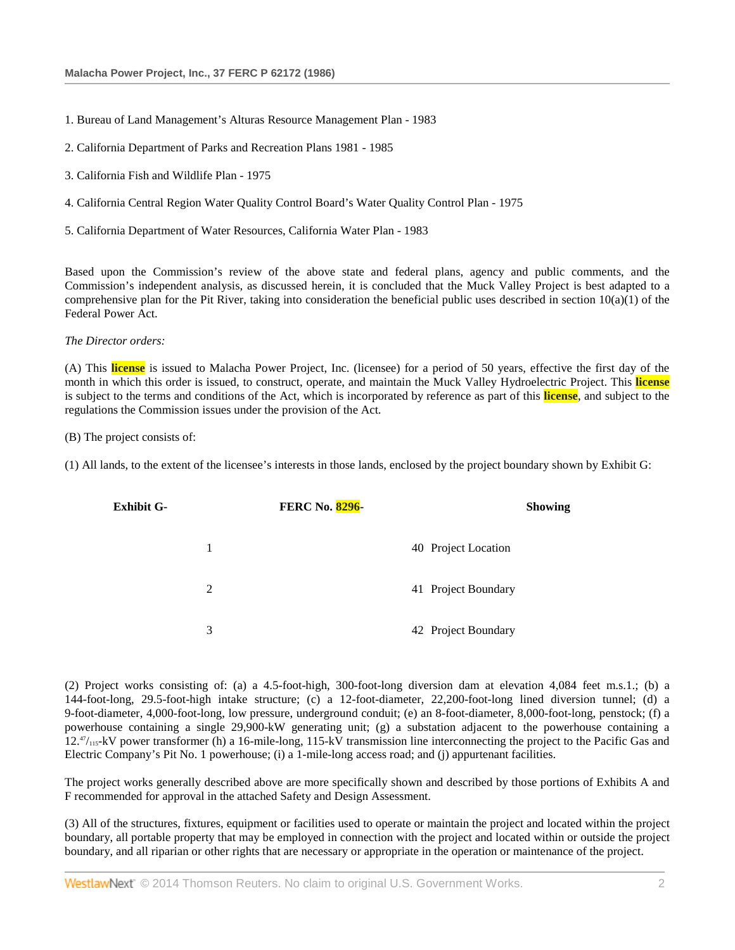- 1. Bureau of Land Management's Alturas Resource Management Plan 1983
- 2. California Department of Parks and Recreation Plans 1981 1985
- 3. California Fish and Wildlife Plan 1975
- 4. California Central Region Water Quality Control Board's Water Quality Control Plan 1975
- 5. California Department of Water Resources, California Water Plan 1983

Based upon the Commission's review of the above state and federal plans, agency and public comments, and the Commission's independent analysis, as discussed herein, it is concluded that the Muck Valley Project is best adapted to a comprehensive plan for the Pit River, taking into consideration the beneficial public uses described in section  $10(a)(1)$  of the Federal Power Act.

### *The Director orders:*

(A) This **license** is issued to Malacha Power Project, Inc. (licensee) for a period of 50 years, effective the first day of the month in which this order is issued, to construct, operate, and maintain the Muck Valley Hydroelectric Project. This **license** is subject to the terms and conditions of the Act, which is incorporated by reference as part of this **license**, and subject to the regulations the Commission issues under the provision of the Act.

(B) The project consists of:

(1) All lands, to the extent of the licensee's interests in those lands, enclosed by the project boundary shown by Exhibit G:

| <b>Exhibit G-</b> |   | <b>FERC No. 8296-</b> |                     | <b>Showing</b> |
|-------------------|---|-----------------------|---------------------|----------------|
|                   |   |                       | 40 Project Location |                |
|                   | 2 |                       | 41 Project Boundary |                |
|                   | 3 |                       | 42 Project Boundary |                |

(2) Project works consisting of: (a) a 4.5-foot-high, 300-foot-long diversion dam at elevation 4,084 feet m.s.1.; (b) a 144-foot-long, 29.5-foot-high intake structure; (c) a 12-foot-diameter, 22,200-foot-long lined diversion tunnel; (d) a 9-foot-diameter, 4,000-foot-long, low pressure, underground conduit; (e) an 8-foot-diameter, 8,000-foot-long, penstock; (f) a powerhouse containing a single 29,900-kW generating unit; (g) a substation adjacent to the powerhouse containing a  $12.^{47}$ <sub>115</sub>-kV power transformer (h) a 16-mile-long, 115-kV transmission line interconnecting the project to the Pacific Gas and Electric Company's Pit No. 1 powerhouse; (i) a 1-mile-long access road; and (j) appurtenant facilities.

The project works generally described above are more specifically shown and described by those portions of Exhibits A and F recommended for approval in the attached Safety and Design Assessment.

(3) All of the structures, fixtures, equipment or facilities used to operate or maintain the project and located within the project boundary, all portable property that may be employed in connection with the project and located within or outside the project boundary, and all riparian or other rights that are necessary or appropriate in the operation or maintenance of the project.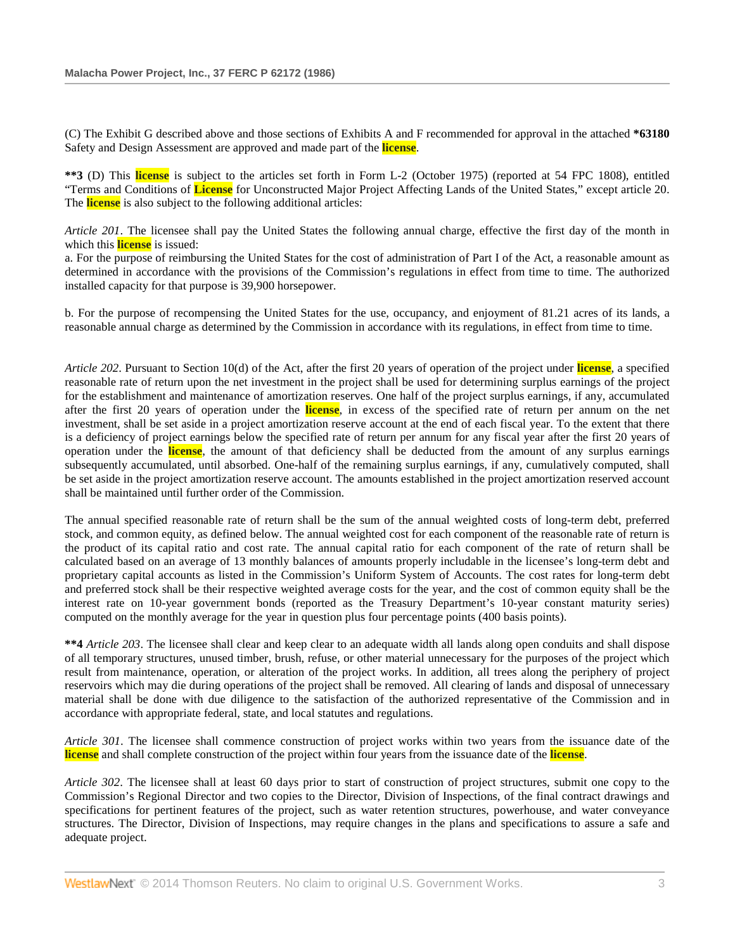(C) The Exhibit G described above and those sections of Exhibits A and F recommended for approval in the attached **\*63180** Safety and Design Assessment are approved and made part of the **license**.

**\*\*3** (D) This **license** is subject to the articles set forth in Form L-2 (October 1975) (reported at 54 FPC 1808), entitled "Terms and Conditions of **License** for Unconstructed Major Project Affecting Lands of the United States," except article 20. The **license** is also subject to the following additional articles:

*Article 201*. The licensee shall pay the United States the following annual charge, effective the first day of the month in which this **license** is issued:

a. For the purpose of reimbursing the United States for the cost of administration of Part I of the Act, a reasonable amount as determined in accordance with the provisions of the Commission's regulations in effect from time to time. The authorized installed capacity for that purpose is 39,900 horsepower.

b. For the purpose of recompensing the United States for the use, occupancy, and enjoyment of 81.21 acres of its lands, a reasonable annual charge as determined by the Commission in accordance with its regulations, in effect from time to time.

*Article 202*. Pursuant to Section 10(d) of the Act, after the first 20 years of operation of the project under **license**, a specified reasonable rate of return upon the net investment in the project shall be used for determining surplus earnings of the project for the establishment and maintenance of amortization reserves. One half of the project surplus earnings, if any, accumulated after the first 20 years of operation under the **license**, in excess of the specified rate of return per annum on the net investment, shall be set aside in a project amortization reserve account at the end of each fiscal year. To the extent that there is a deficiency of project earnings below the specified rate of return per annum for any fiscal year after the first 20 years of operation under the **license**, the amount of that deficiency shall be deducted from the amount of any surplus earnings subsequently accumulated, until absorbed. One-half of the remaining surplus earnings, if any, cumulatively computed, shall be set aside in the project amortization reserve account. The amounts established in the project amortization reserved account shall be maintained until further order of the Commission.

The annual specified reasonable rate of return shall be the sum of the annual weighted costs of long-term debt, preferred stock, and common equity, as defined below. The annual weighted cost for each component of the reasonable rate of return is the product of its capital ratio and cost rate. The annual capital ratio for each component of the rate of return shall be calculated based on an average of 13 monthly balances of amounts properly includable in the licensee's long-term debt and proprietary capital accounts as listed in the Commission's Uniform System of Accounts. The cost rates for long-term debt and preferred stock shall be their respective weighted average costs for the year, and the cost of common equity shall be the interest rate on 10-year government bonds (reported as the Treasury Department's 10-year constant maturity series) computed on the monthly average for the year in question plus four percentage points (400 basis points).

**\*\*4** *Article 203*. The licensee shall clear and keep clear to an adequate width all lands along open conduits and shall dispose of all temporary structures, unused timber, brush, refuse, or other material unnecessary for the purposes of the project which result from maintenance, operation, or alteration of the project works. In addition, all trees along the periphery of project reservoirs which may die during operations of the project shall be removed. All clearing of lands and disposal of unnecessary material shall be done with due diligence to the satisfaction of the authorized representative of the Commission and in accordance with appropriate federal, state, and local statutes and regulations.

*Article 301*. The licensee shall commence construction of project works within two years from the issuance date of the **license** and shall complete construction of the project within four years from the issuance date of the **license**.

*Article 302*. The licensee shall at least 60 days prior to start of construction of project structures, submit one copy to the Commission's Regional Director and two copies to the Director, Division of Inspections, of the final contract drawings and specifications for pertinent features of the project, such as water retention structures, powerhouse, and water conveyance structures. The Director, Division of Inspections, may require changes in the plans and specifications to assure a safe and adequate project.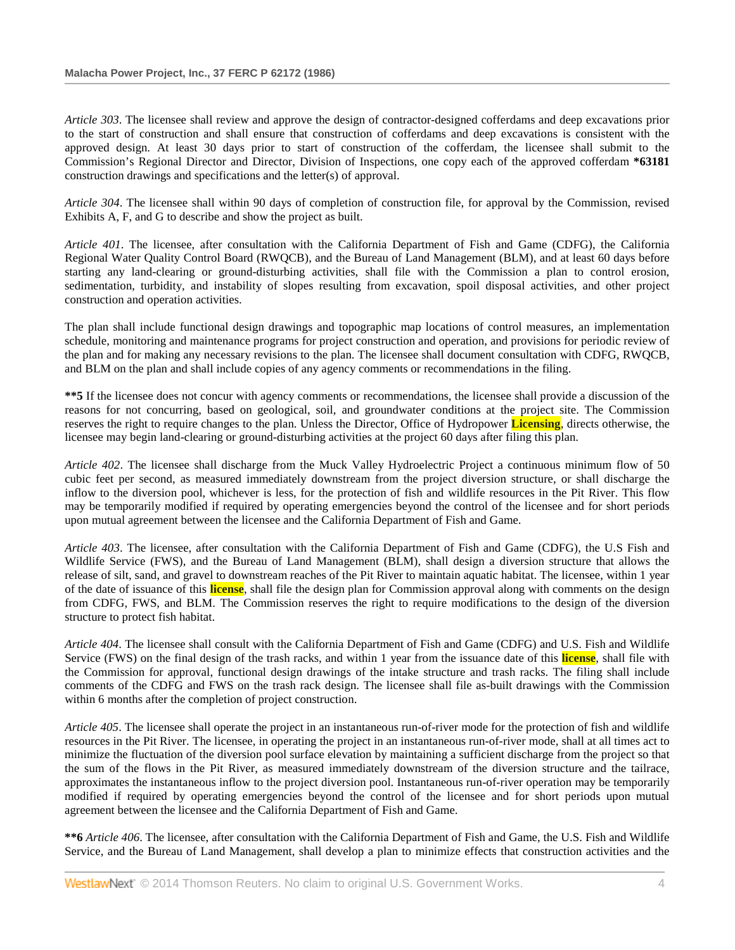*Article 303*. The licensee shall review and approve the design of contractor-designed cofferdams and deep excavations prior to the start of construction and shall ensure that construction of cofferdams and deep excavations is consistent with the approved design. At least 30 days prior to start of construction of the cofferdam, the licensee shall submit to the Commission's Regional Director and Director, Division of Inspections, one copy each of the approved cofferdam **\*63181** construction drawings and specifications and the letter(s) of approval.

*Article 304*. The licensee shall within 90 days of completion of construction file, for approval by the Commission, revised Exhibits A, F, and G to describe and show the project as built.

*Article 401*. The licensee, after consultation with the California Department of Fish and Game (CDFG), the California Regional Water Quality Control Board (RWQCB), and the Bureau of Land Management (BLM), and at least 60 days before starting any land-clearing or ground-disturbing activities, shall file with the Commission a plan to control erosion, sedimentation, turbidity, and instability of slopes resulting from excavation, spoil disposal activities, and other project construction and operation activities.

The plan shall include functional design drawings and topographic map locations of control measures, an implementation schedule, monitoring and maintenance programs for project construction and operation, and provisions for periodic review of the plan and for making any necessary revisions to the plan. The licensee shall document consultation with CDFG, RWQCB, and BLM on the plan and shall include copies of any agency comments or recommendations in the filing.

**\*\*5** If the licensee does not concur with agency comments or recommendations, the licensee shall provide a discussion of the reasons for not concurring, based on geological, soil, and groundwater conditions at the project site. The Commission reserves the right to require changes to the plan. Unless the Director, Office of Hydropower **Licensing**, directs otherwise, the licensee may begin land-clearing or ground-disturbing activities at the project 60 days after filing this plan.

*Article 402*. The licensee shall discharge from the Muck Valley Hydroelectric Project a continuous minimum flow of 50 cubic feet per second, as measured immediately downstream from the project diversion structure, or shall discharge the inflow to the diversion pool, whichever is less, for the protection of fish and wildlife resources in the Pit River. This flow may be temporarily modified if required by operating emergencies beyond the control of the licensee and for short periods upon mutual agreement between the licensee and the California Department of Fish and Game.

*Article 403*. The licensee, after consultation with the California Department of Fish and Game (CDFG), the U.S Fish and Wildlife Service (FWS), and the Bureau of Land Management (BLM), shall design a diversion structure that allows the release of silt, sand, and gravel to downstream reaches of the Pit River to maintain aquatic habitat. The licensee, within 1 year of the date of issuance of this **license**, shall file the design plan for Commission approval along with comments on the design from CDFG, FWS, and BLM. The Commission reserves the right to require modifications to the design of the diversion structure to protect fish habitat.

*Article 404*. The licensee shall consult with the California Department of Fish and Game (CDFG) and U.S. Fish and Wildlife Service (FWS) on the final design of the trash racks, and within 1 year from the issuance date of this **license**, shall file with the Commission for approval, functional design drawings of the intake structure and trash racks. The filing shall include comments of the CDFG and FWS on the trash rack design. The licensee shall file as-built drawings with the Commission within 6 months after the completion of project construction.

*Article 405*. The licensee shall operate the project in an instantaneous run-of-river mode for the protection of fish and wildlife resources in the Pit River. The licensee, in operating the project in an instantaneous run-of-river mode, shall at all times act to minimize the fluctuation of the diversion pool surface elevation by maintaining a sufficient discharge from the project so that the sum of the flows in the Pit River, as measured immediately downstream of the diversion structure and the tailrace, approximates the instantaneous inflow to the project diversion pool. Instantaneous run-of-river operation may be temporarily modified if required by operating emergencies beyond the control of the licensee and for short periods upon mutual agreement between the licensee and the California Department of Fish and Game.

**\*\*6** *Article 406*. The licensee, after consultation with the California Department of Fish and Game, the U.S. Fish and Wildlife Service, and the Bureau of Land Management, shall develop a plan to minimize effects that construction activities and the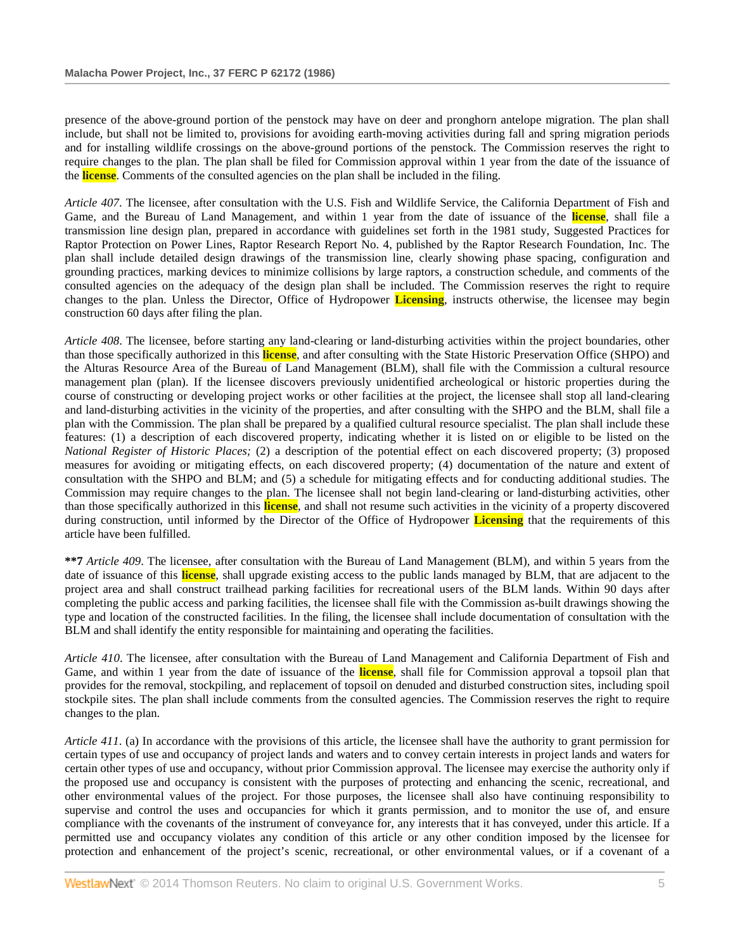presence of the above-ground portion of the penstock may have on deer and pronghorn antelope migration. The plan shall include, but shall not be limited to, provisions for avoiding earth-moving activities during fall and spring migration periods and for installing wildlife crossings on the above-ground portions of the penstock. The Commission reserves the right to require changes to the plan. The plan shall be filed for Commission approval within 1 year from the date of the issuance of the **license**. Comments of the consulted agencies on the plan shall be included in the filing.

*Article 407*. The licensee, after consultation with the U.S. Fish and Wildlife Service, the California Department of Fish and Game, and the Bureau of Land Management, and within 1 year from the date of issuance of the **license**, shall file a transmission line design plan, prepared in accordance with guidelines set forth in the 1981 study, Suggested Practices for Raptor Protection on Power Lines, Raptor Research Report No. 4, published by the Raptor Research Foundation, Inc. The plan shall include detailed design drawings of the transmission line, clearly showing phase spacing, configuration and grounding practices, marking devices to minimize collisions by large raptors, a construction schedule, and comments of the consulted agencies on the adequacy of the design plan shall be included. The Commission reserves the right to require changes to the plan. Unless the Director, Office of Hydropower **Licensing**, instructs otherwise, the licensee may begin construction 60 days after filing the plan.

*Article 408*. The licensee, before starting any land-clearing or land-disturbing activities within the project boundaries, other than those specifically authorized in this **license**, and after consulting with the State Historic Preservation Office (SHPO) and the Alturas Resource Area of the Bureau of Land Management (BLM), shall file with the Commission a cultural resource management plan (plan). If the licensee discovers previously unidentified archeological or historic properties during the course of constructing or developing project works or other facilities at the project, the licensee shall stop all land-clearing and land-disturbing activities in the vicinity of the properties, and after consulting with the SHPO and the BLM, shall file a plan with the Commission. The plan shall be prepared by a qualified cultural resource specialist. The plan shall include these features: (1) a description of each discovered property, indicating whether it is listed on or eligible to be listed on the *National Register of Historic Places;* (2) a description of the potential effect on each discovered property; (3) proposed measures for avoiding or mitigating effects, on each discovered property; (4) documentation of the nature and extent of consultation with the SHPO and BLM; and (5) a schedule for mitigating effects and for conducting additional studies. The Commission may require changes to the plan. The licensee shall not begin land-clearing or land-disturbing activities, other than those specifically authorized in this **license**, and shall not resume such activities in the vicinity of a property discovered during construction, until informed by the Director of the Office of Hydropower **Licensing** that the requirements of this article have been fulfilled.

**\*\*7** *Article 409*. The licensee, after consultation with the Bureau of Land Management (BLM), and within 5 years from the date of issuance of this **license**, shall upgrade existing access to the public lands managed by BLM, that are adjacent to the project area and shall construct trailhead parking facilities for recreational users of the BLM lands. Within 90 days after completing the public access and parking facilities, the licensee shall file with the Commission as-built drawings showing the type and location of the constructed facilities. In the filing, the licensee shall include documentation of consultation with the BLM and shall identify the entity responsible for maintaining and operating the facilities.

*Article 410*. The licensee, after consultation with the Bureau of Land Management and California Department of Fish and Game, and within 1 year from the date of issuance of the **license**, shall file for Commission approval a topsoil plan that provides for the removal, stockpiling, and replacement of topsoil on denuded and disturbed construction sites, including spoil stockpile sites. The plan shall include comments from the consulted agencies. The Commission reserves the right to require changes to the plan.

*Article 411*. (a) In accordance with the provisions of this article, the licensee shall have the authority to grant permission for certain types of use and occupancy of project lands and waters and to convey certain interests in project lands and waters for certain other types of use and occupancy, without prior Commission approval. The licensee may exercise the authority only if the proposed use and occupancy is consistent with the purposes of protecting and enhancing the scenic, recreational, and other environmental values of the project. For those purposes, the licensee shall also have continuing responsibility to supervise and control the uses and occupancies for which it grants permission, and to monitor the use of, and ensure compliance with the covenants of the instrument of conveyance for, any interests that it has conveyed, under this article. If a permitted use and occupancy violates any condition of this article or any other condition imposed by the licensee for protection and enhancement of the project's scenic, recreational, or other environmental values, or if a covenant of a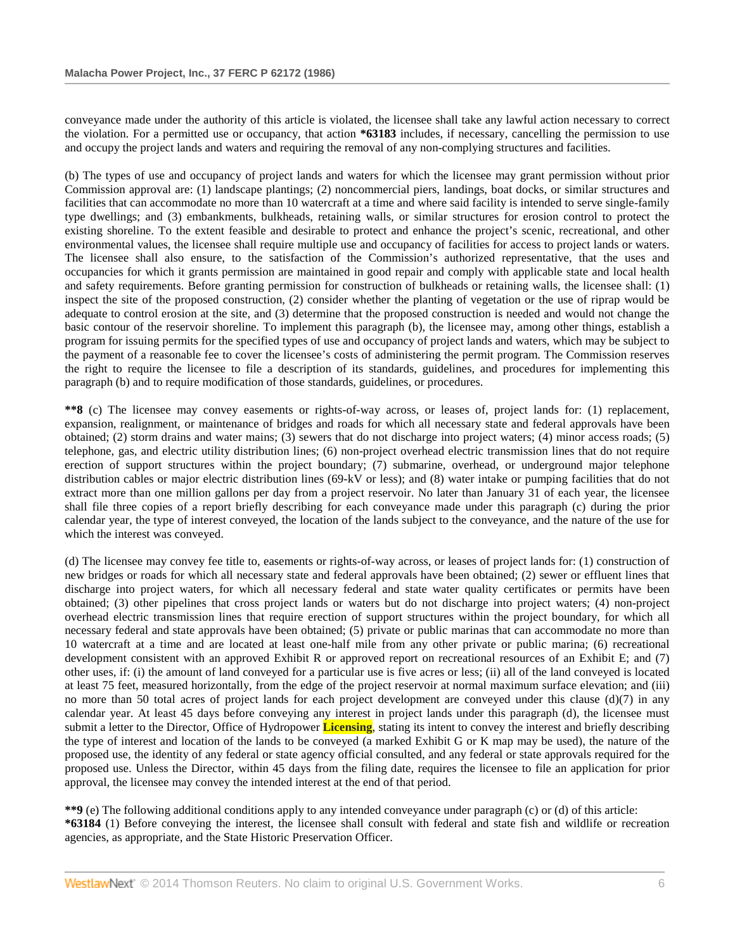conveyance made under the authority of this article is violated, the licensee shall take any lawful action necessary to correct the violation. For a permitted use or occupancy, that action **\*63183** includes, if necessary, cancelling the permission to use and occupy the project lands and waters and requiring the removal of any non-complying structures and facilities.

(b) The types of use and occupancy of project lands and waters for which the licensee may grant permission without prior Commission approval are: (1) landscape plantings; (2) noncommercial piers, landings, boat docks, or similar structures and facilities that can accommodate no more than 10 watercraft at a time and where said facility is intended to serve single-family type dwellings; and (3) embankments, bulkheads, retaining walls, or similar structures for erosion control to protect the existing shoreline. To the extent feasible and desirable to protect and enhance the project's scenic, recreational, and other environmental values, the licensee shall require multiple use and occupancy of facilities for access to project lands or waters. The licensee shall also ensure, to the satisfaction of the Commission's authorized representative, that the uses and occupancies for which it grants permission are maintained in good repair and comply with applicable state and local health and safety requirements. Before granting permission for construction of bulkheads or retaining walls, the licensee shall: (1) inspect the site of the proposed construction, (2) consider whether the planting of vegetation or the use of riprap would be adequate to control erosion at the site, and (3) determine that the proposed construction is needed and would not change the basic contour of the reservoir shoreline. To implement this paragraph (b), the licensee may, among other things, establish a program for issuing permits for the specified types of use and occupancy of project lands and waters, which may be subject to the payment of a reasonable fee to cover the licensee's costs of administering the permit program. The Commission reserves the right to require the licensee to file a description of its standards, guidelines, and procedures for implementing this paragraph (b) and to require modification of those standards, guidelines, or procedures.

**\*\*8** (c) The licensee may convey easements or rights-of-way across, or leases of, project lands for: (1) replacement, expansion, realignment, or maintenance of bridges and roads for which all necessary state and federal approvals have been obtained; (2) storm drains and water mains; (3) sewers that do not discharge into project waters; (4) minor access roads; (5) telephone, gas, and electric utility distribution lines; (6) non-project overhead electric transmission lines that do not require erection of support structures within the project boundary; (7) submarine, overhead, or underground major telephone distribution cables or major electric distribution lines (69-kV or less); and (8) water intake or pumping facilities that do not extract more than one million gallons per day from a project reservoir. No later than January 31 of each year, the licensee shall file three copies of a report briefly describing for each conveyance made under this paragraph (c) during the prior calendar year, the type of interest conveyed, the location of the lands subject to the conveyance, and the nature of the use for which the interest was conveyed.

(d) The licensee may convey fee title to, easements or rights-of-way across, or leases of project lands for: (1) construction of new bridges or roads for which all necessary state and federal approvals have been obtained; (2) sewer or effluent lines that discharge into project waters, for which all necessary federal and state water quality certificates or permits have been obtained; (3) other pipelines that cross project lands or waters but do not discharge into project waters; (4) non-project overhead electric transmission lines that require erection of support structures within the project boundary, for which all necessary federal and state approvals have been obtained; (5) private or public marinas that can accommodate no more than 10 watercraft at a time and are located at least one-half mile from any other private or public marina; (6) recreational development consistent with an approved Exhibit R or approved report on recreational resources of an Exhibit E; and (7) other uses, if: (i) the amount of land conveyed for a particular use is five acres or less; (ii) all of the land conveyed is located at least 75 feet, measured horizontally, from the edge of the project reservoir at normal maximum surface elevation; and (iii) no more than 50 total acres of project lands for each project development are conveyed under this clause  $(d)(7)$  in any calendar year. At least 45 days before conveying any interest in project lands under this paragraph (d), the licensee must submit a letter to the Director, Office of Hydropower **Licensing**, stating its intent to convey the interest and briefly describing the type of interest and location of the lands to be conveyed (a marked Exhibit G or K map may be used), the nature of the proposed use, the identity of any federal or state agency official consulted, and any federal or state approvals required for the proposed use. Unless the Director, within 45 days from the filing date, requires the licensee to file an application for prior approval, the licensee may convey the intended interest at the end of that period.

**\*\*9** (e) The following additional conditions apply to any intended conveyance under paragraph (c) or (d) of this article: **\*63184** (1) Before conveying the interest, the licensee shall consult with federal and state fish and wildlife or recreation agencies, as appropriate, and the State Historic Preservation Officer.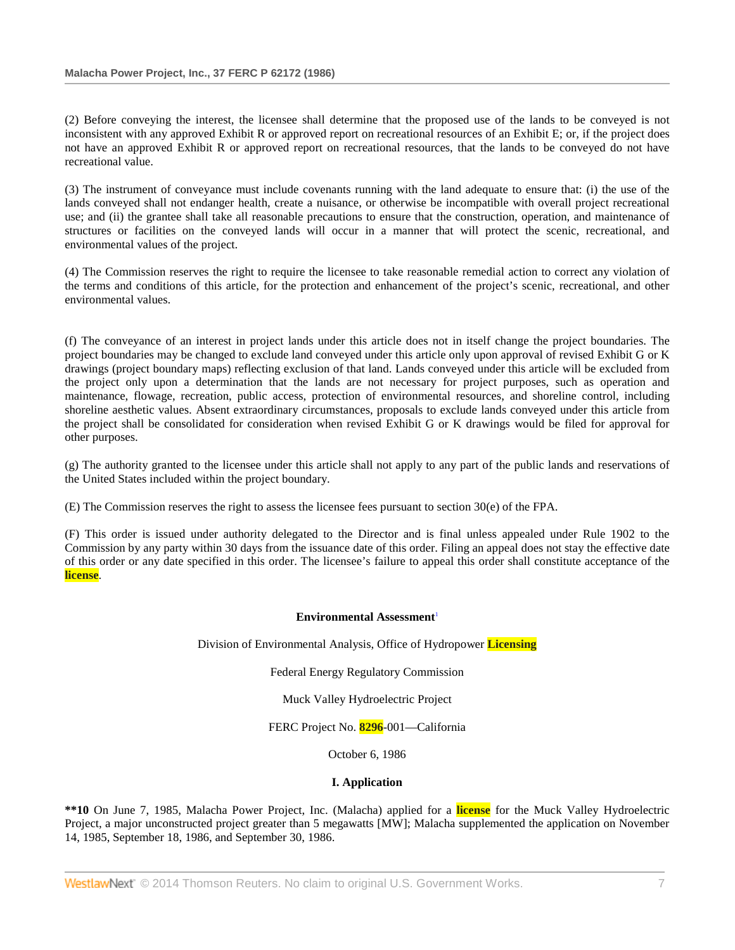(2) Before conveying the interest, the licensee shall determine that the proposed use of the lands to be conveyed is not inconsistent with any approved Exhibit R or approved report on recreational resources of an Exhibit E; or, if the project does not have an approved Exhibit R or approved report on recreational resources, that the lands to be conveyed do not have recreational value.

(3) The instrument of conveyance must include covenants running with the land adequate to ensure that: (i) the use of the lands conveyed shall not endanger health, create a nuisance, or otherwise be incompatible with overall project recreational use; and (ii) the grantee shall take all reasonable precautions to ensure that the construction, operation, and maintenance of structures or facilities on the conveyed lands will occur in a manner that will protect the scenic, recreational, and environmental values of the project.

(4) The Commission reserves the right to require the licensee to take reasonable remedial action to correct any violation of the terms and conditions of this article, for the protection and enhancement of the project's scenic, recreational, and other environmental values.

(f) The conveyance of an interest in project lands under this article does not in itself change the project boundaries. The project boundaries may be changed to exclude land conveyed under this article only upon approval of revised Exhibit G or K drawings (project boundary maps) reflecting exclusion of that land. Lands conveyed under this article will be excluded from the project only upon a determination that the lands are not necessary for project purposes, such as operation and maintenance, flowage, recreation, public access, protection of environmental resources, and shoreline control, including shoreline aesthetic values. Absent extraordinary circumstances, proposals to exclude lands conveyed under this article from the project shall be consolidated for consideration when revised Exhibit G or K drawings would be filed for approval for other purposes.

(g) The authority granted to the licensee under this article shall not apply to any part of the public lands and reservations of the United States included within the project boundary.

(E) The Commission reserves the right to assess the licensee fees pursuant to section 30(e) of the FPA.

(F) This order is issued under authority delegated to the Director and is final unless appealed under Rule 1902 to the Commission by any party within 30 days from the issuance date of this order. Filing an appeal does not stay the effective date of this order or any date specified in this order. The licensee's failure to appeal this order shall constitute acceptance of the **license**.

### **Environmental Assessment**<sup>1</sup>

Division of Environmental Analysis, Office of Hydropower **Licensing**

Federal Energy Regulatory Commission

Muck Valley Hydroelectric Project

FERC Project No. **8296**-001—California

October 6, 1986

## **I. Application**

**\*\*10** On June 7, 1985, Malacha Power Project, Inc. (Malacha) applied for a **license** for the Muck Valley Hydroelectric Project, a major unconstructed project greater than 5 megawatts [MW]; Malacha supplemented the application on November 14, 1985, September 18, 1986, and September 30, 1986.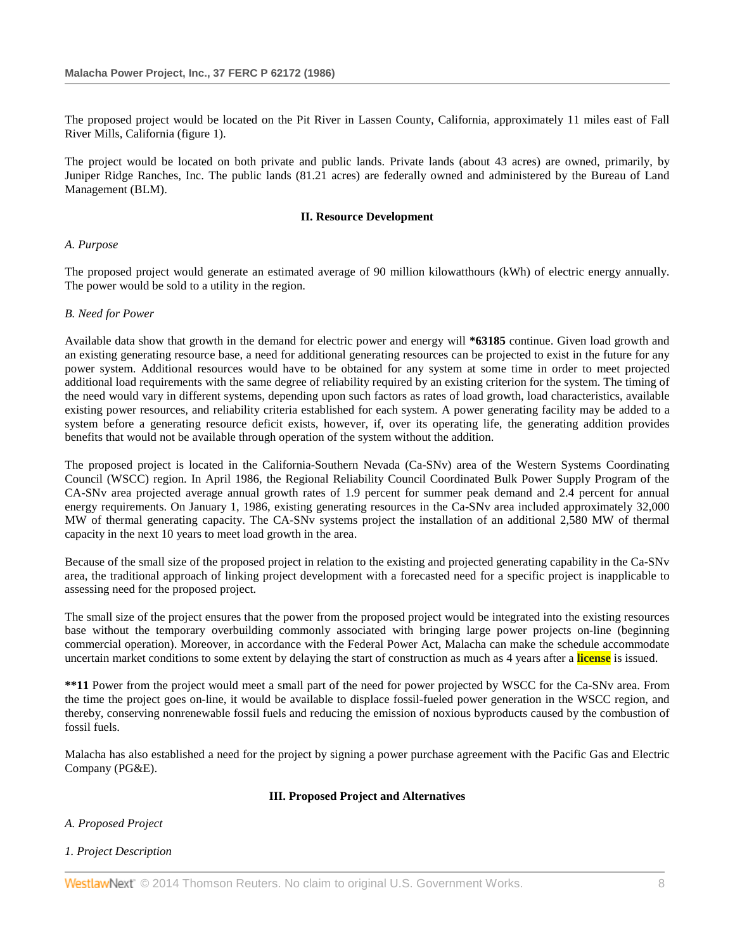The proposed project would be located on the Pit River in Lassen County, California, approximately 11 miles east of Fall River Mills, California (figure 1).

The project would be located on both private and public lands. Private lands (about 43 acres) are owned, primarily, by Juniper Ridge Ranches, Inc. The public lands (81.21 acres) are federally owned and administered by the Bureau of Land Management (BLM).

# **II. Resource Development**

# *A. Purpose*

The proposed project would generate an estimated average of 90 million kilowatthours (kWh) of electric energy annually. The power would be sold to a utility in the region.

# *B. Need for Power*

Available data show that growth in the demand for electric power and energy will **\*63185** continue. Given load growth and an existing generating resource base, a need for additional generating resources can be projected to exist in the future for any power system. Additional resources would have to be obtained for any system at some time in order to meet projected additional load requirements with the same degree of reliability required by an existing criterion for the system. The timing of the need would vary in different systems, depending upon such factors as rates of load growth, load characteristics, available existing power resources, and reliability criteria established for each system. A power generating facility may be added to a system before a generating resource deficit exists, however, if, over its operating life, the generating addition provides benefits that would not be available through operation of the system without the addition.

The proposed project is located in the California-Southern Nevada (Ca-SNv) area of the Western Systems Coordinating Council (WSCC) region. In April 1986, the Regional Reliability Council Coordinated Bulk Power Supply Program of the CA-SNv area projected average annual growth rates of 1.9 percent for summer peak demand and 2.4 percent for annual energy requirements. On January 1, 1986, existing generating resources in the Ca-SNv area included approximately 32,000 MW of thermal generating capacity. The CA-SNv systems project the installation of an additional 2,580 MW of thermal capacity in the next 10 years to meet load growth in the area.

Because of the small size of the proposed project in relation to the existing and projected generating capability in the Ca-SNv area, the traditional approach of linking project development with a forecasted need for a specific project is inapplicable to assessing need for the proposed project.

The small size of the project ensures that the power from the proposed project would be integrated into the existing resources base without the temporary overbuilding commonly associated with bringing large power projects on-line (beginning commercial operation). Moreover, in accordance with the Federal Power Act, Malacha can make the schedule accommodate uncertain market conditions to some extent by delaying the start of construction as much as 4 years after a **license** is issued.

**\*\*11** Power from the project would meet a small part of the need for power projected by WSCC for the Ca-SNv area. From the time the project goes on-line, it would be available to displace fossil-fueled power generation in the WSCC region, and thereby, conserving nonrenewable fossil fuels and reducing the emission of noxious byproducts caused by the combustion of fossil fuels.

Malacha has also established a need for the project by signing a power purchase agreement with the Pacific Gas and Electric Company (PG&E).

# **III. Proposed Project and Alternatives**

# *A. Proposed Project*

# *1. Project Description*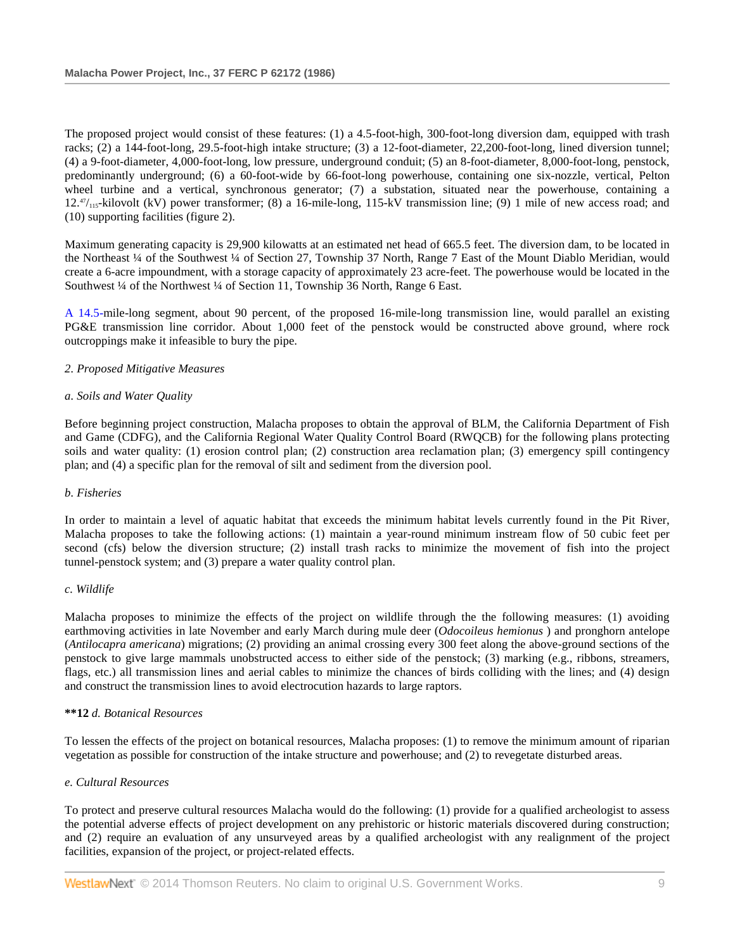The proposed project would consist of these features: (1) a 4.5-foot-high, 300-foot-long diversion dam, equipped with trash racks; (2) a 144-foot-long, 29.5-foot-high intake structure; (3) a 12-foot-diameter, 22,200-foot-long, lined diversion tunnel; (4) a 9-foot-diameter, 4,000-foot-long, low pressure, underground conduit; (5) an 8-foot-diameter, 8,000-foot-long, penstock, predominantly underground; (6) a 60-foot-wide by 66-foot-long powerhouse, containing one six-nozzle, vertical, Pelton wheel turbine and a vertical, synchronous generator; (7) a substation, situated near the powerhouse, containing a  $12.^{47}_{115}$ -kilovolt (kV) power transformer; (8) a 16-mile-long, 115-kV transmission line; (9) 1 mile of new access road; and (10) supporting facilities (figure 2).

Maximum generating capacity is 29,900 kilowatts at an estimated net head of 665.5 feet. The diversion dam, to be located in the Northeast ¼ of the Southwest ¼ of Section 27, Township 37 North, Range 7 East of the Mount Diablo Meridian, would create a 6-acre impoundment, with a storage capacity of approximately 23 acre-feet. The powerhouse would be located in the Southwest ¼ of the Northwest ¼ of Section 11, Township 36 North, Range 6 East.

[A 14.5-m](http://www.westlaw.com/Link/Document/FullText?findType=Y&pubNum=5304&cite=CGOA14.5&originationContext=document&vr=3.0&rs=cblt1.0&transitionType=DocumentItem&contextData=(sc.Search))ile-long segment, about 90 percent, of the proposed 16-mile-long transmission line, would parallel an existing PG&E transmission line corridor. About 1,000 feet of the penstock would be constructed above ground, where rock outcroppings make it infeasible to bury the pipe.

# *2. Proposed Mitigative Measures*

### *a. Soils and Water Quality*

Before beginning project construction, Malacha proposes to obtain the approval of BLM, the California Department of Fish and Game (CDFG), and the California Regional Water Quality Control Board (RWQCB) for the following plans protecting soils and water quality: (1) erosion control plan; (2) construction area reclamation plan; (3) emergency spill contingency plan; and (4) a specific plan for the removal of silt and sediment from the diversion pool.

### *b. Fisheries*

In order to maintain a level of aquatic habitat that exceeds the minimum habitat levels currently found in the Pit River, Malacha proposes to take the following actions: (1) maintain a year-round minimum instream flow of 50 cubic feet per second (cfs) below the diversion structure; (2) install trash racks to minimize the movement of fish into the project tunnel-penstock system; and (3) prepare a water quality control plan.

### *c. Wildlife*

Malacha proposes to minimize the effects of the project on wildlife through the the following measures: (1) avoiding earthmoving activities in late November and early March during mule deer (*Odocoileus hemionus* ) and pronghorn antelope (*Antilocapra americana*) migrations; (2) providing an animal crossing every 300 feet along the above-ground sections of the penstock to give large mammals unobstructed access to either side of the penstock; (3) marking (e.g., ribbons, streamers, flags, etc.) all transmission lines and aerial cables to minimize the chances of birds colliding with the lines; and (4) design and construct the transmission lines to avoid electrocution hazards to large raptors.

## **\*\*12** *d. Botanical Resources*

To lessen the effects of the project on botanical resources, Malacha proposes: (1) to remove the minimum amount of riparian vegetation as possible for construction of the intake structure and powerhouse; and (2) to revegetate disturbed areas.

### *e. Cultural Resources*

To protect and preserve cultural resources Malacha would do the following: (1) provide for a qualified archeologist to assess the potential adverse effects of project development on any prehistoric or historic materials discovered during construction; and (2) require an evaluation of any unsurveyed areas by a qualified archeologist with any realignment of the project facilities, expansion of the project, or project-related effects.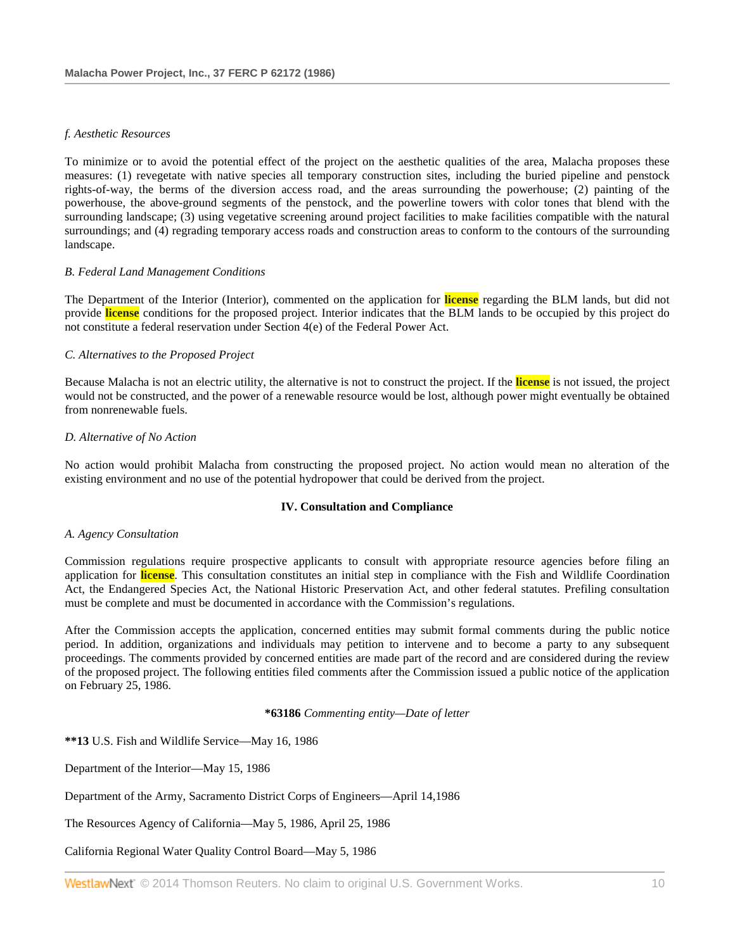## *f. Aesthetic Resources*

To minimize or to avoid the potential effect of the project on the aesthetic qualities of the area, Malacha proposes these measures: (1) revegetate with native species all temporary construction sites, including the buried pipeline and penstock rights-of-way, the berms of the diversion access road, and the areas surrounding the powerhouse; (2) painting of the powerhouse, the above-ground segments of the penstock, and the powerline towers with color tones that blend with the surrounding landscape; (3) using vegetative screening around project facilities to make facilities compatible with the natural surroundings; and (4) regrading temporary access roads and construction areas to conform to the contours of the surrounding landscape.

# *B. Federal Land Management Conditions*

The Department of the Interior (Interior), commented on the application for **license** regarding the BLM lands, but did not provide **license** conditions for the proposed project. Interior indicates that the BLM lands to be occupied by this project do not constitute a federal reservation under Section 4(e) of the Federal Power Act.

# *C. Alternatives to the Proposed Project*

Because Malacha is not an electric utility, the alternative is not to construct the project. If the **license** is not issued, the project would not be constructed, and the power of a renewable resource would be lost, although power might eventually be obtained from nonrenewable fuels.

# *D. Alternative of No Action*

No action would prohibit Malacha from constructing the proposed project. No action would mean no alteration of the existing environment and no use of the potential hydropower that could be derived from the project.

## **IV. Consultation and Compliance**

### *A. Agency Consultation*

Commission regulations require prospective applicants to consult with appropriate resource agencies before filing an application for **license**. This consultation constitutes an initial step in compliance with the Fish and Wildlife Coordination Act, the Endangered Species Act, the National Historic Preservation Act, and other federal statutes. Prefiling consultation must be complete and must be documented in accordance with the Commission's regulations.

After the Commission accepts the application, concerned entities may submit formal comments during the public notice period. In addition, organizations and individuals may petition to intervene and to become a party to any subsequent proceedings. The comments provided by concerned entities are made part of the record and are considered during the review of the proposed project. The following entities filed comments after the Commission issued a public notice of the application on February 25, 1986.

**\*63186** *Commenting entity—Date of letter*

**\*\*13** U.S. Fish and Wildlife Service—May 16, 1986

Department of the Interior—May 15, 1986

Department of the Army, Sacramento District Corps of Engineers—April 14,1986

The Resources Agency of California—May 5, 1986, April 25, 1986

California Regional Water Quality Control Board—May 5, 1986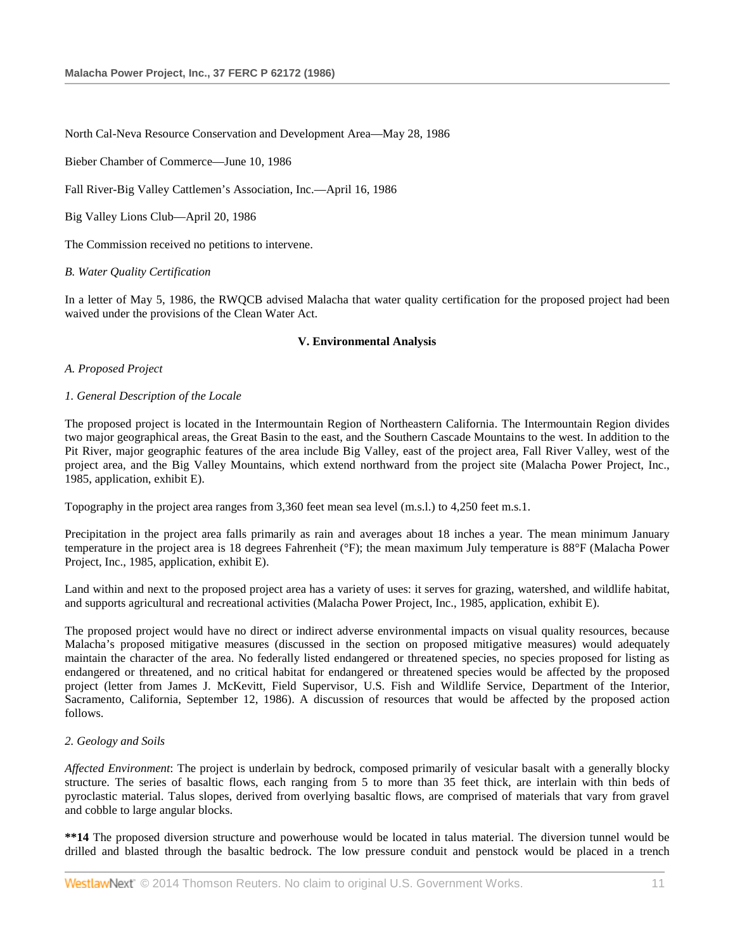North Cal-Neva Resource Conservation and Development Area—May 28, 1986

Bieber Chamber of Commerce—June 10, 1986

Fall River-Big Valley Cattlemen's Association, Inc.—April 16, 1986

Big Valley Lions Club—April 20, 1986

The Commission received no petitions to intervene.

*B. Water Quality Certification*

In a letter of May 5, 1986, the RWQCB advised Malacha that water quality certification for the proposed project had been waived under the provisions of the Clean Water Act.

#### **V. Environmental Analysis**

#### *A. Proposed Project*

#### *1. General Description of the Locale*

The proposed project is located in the Intermountain Region of Northeastern California. The Intermountain Region divides two major geographical areas, the Great Basin to the east, and the Southern Cascade Mountains to the west. In addition to the Pit River, major geographic features of the area include Big Valley, east of the project area, Fall River Valley, west of the project area, and the Big Valley Mountains, which extend northward from the project site (Malacha Power Project, Inc., 1985, application, exhibit E).

Topography in the project area ranges from 3,360 feet mean sea level (m.s.l.) to 4,250 feet m.s.1.

Precipitation in the project area falls primarily as rain and averages about 18 inches a year. The mean minimum January temperature in the project area is 18 degrees Fahrenheit (°F); the mean maximum July temperature is 88°F (Malacha Power Project, Inc., 1985, application, exhibit E).

Land within and next to the proposed project area has a variety of uses: it serves for grazing, watershed, and wildlife habitat, and supports agricultural and recreational activities (Malacha Power Project, Inc., 1985, application, exhibit E).

The proposed project would have no direct or indirect adverse environmental impacts on visual quality resources, because Malacha's proposed mitigative measures (discussed in the section on proposed mitigative measures) would adequately maintain the character of the area. No federally listed endangered or threatened species, no species proposed for listing as endangered or threatened, and no critical habitat for endangered or threatened species would be affected by the proposed project (letter from James J. McKevitt, Field Supervisor, U.S. Fish and Wildlife Service, Department of the Interior, Sacramento, California, September 12, 1986). A discussion of resources that would be affected by the proposed action follows.

### *2. Geology and Soils*

*Affected Environment*: The project is underlain by bedrock, composed primarily of vesicular basalt with a generally blocky structure. The series of basaltic flows, each ranging from 5 to more than 35 feet thick, are interlain with thin beds of pyroclastic material. Talus slopes, derived from overlying basaltic flows, are comprised of materials that vary from gravel and cobble to large angular blocks.

**\*\*14** The proposed diversion structure and powerhouse would be located in talus material. The diversion tunnel would be drilled and blasted through the basaltic bedrock. The low pressure conduit and penstock would be placed in a trench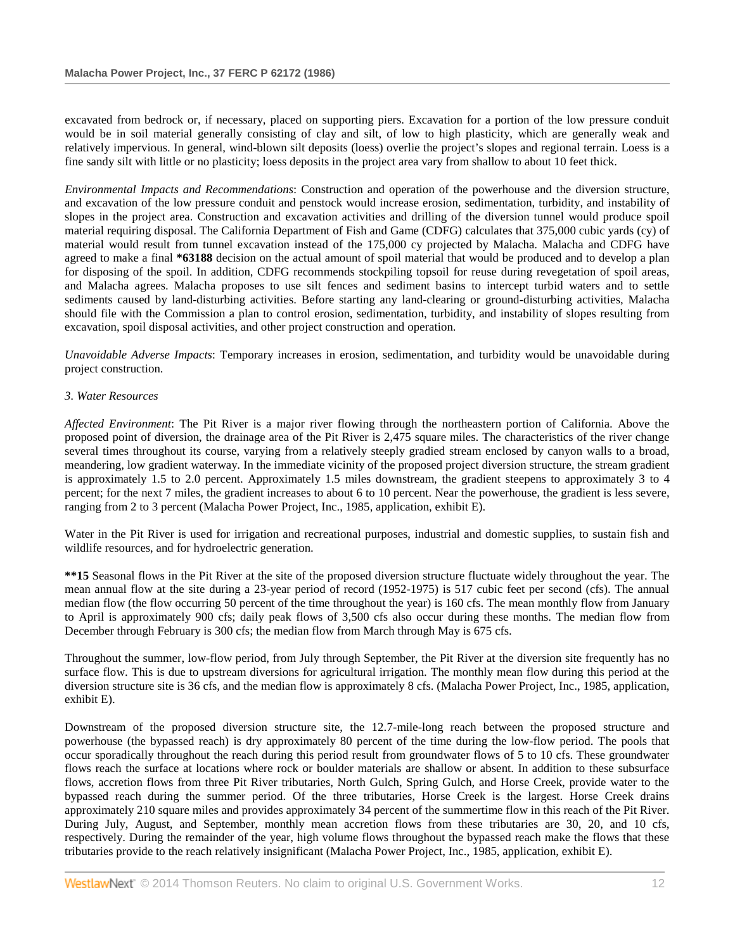excavated from bedrock or, if necessary, placed on supporting piers. Excavation for a portion of the low pressure conduit would be in soil material generally consisting of clay and silt, of low to high plasticity, which are generally weak and relatively impervious. In general, wind-blown silt deposits (loess) overlie the project's slopes and regional terrain. Loess is a fine sandy silt with little or no plasticity; loess deposits in the project area vary from shallow to about 10 feet thick.

*Environmental Impacts and Recommendations*: Construction and operation of the powerhouse and the diversion structure, and excavation of the low pressure conduit and penstock would increase erosion, sedimentation, turbidity, and instability of slopes in the project area. Construction and excavation activities and drilling of the diversion tunnel would produce spoil material requiring disposal. The California Department of Fish and Game (CDFG) calculates that 375,000 cubic yards (cy) of material would result from tunnel excavation instead of the 175,000 cy projected by Malacha. Malacha and CDFG have agreed to make a final **\*63188** decision on the actual amount of spoil material that would be produced and to develop a plan for disposing of the spoil. In addition, CDFG recommends stockpiling topsoil for reuse during revegetation of spoil areas, and Malacha agrees. Malacha proposes to use silt fences and sediment basins to intercept turbid waters and to settle sediments caused by land-disturbing activities. Before starting any land-clearing or ground-disturbing activities, Malacha should file with the Commission a plan to control erosion, sedimentation, turbidity, and instability of slopes resulting from excavation, spoil disposal activities, and other project construction and operation.

*Unavoidable Adverse Impacts*: Temporary increases in erosion, sedimentation, and turbidity would be unavoidable during project construction.

# *3. Water Resources*

*Affected Environment*: The Pit River is a major river flowing through the northeastern portion of California. Above the proposed point of diversion, the drainage area of the Pit River is 2,475 square miles. The characteristics of the river change several times throughout its course, varying from a relatively steeply gradied stream enclosed by canyon walls to a broad, meandering, low gradient waterway. In the immediate vicinity of the proposed project diversion structure, the stream gradient is approximately 1.5 to 2.0 percent. Approximately 1.5 miles downstream, the gradient steepens to approximately 3 to 4 percent; for the next 7 miles, the gradient increases to about 6 to 10 percent. Near the powerhouse, the gradient is less severe, ranging from 2 to 3 percent (Malacha Power Project, Inc., 1985, application, exhibit E).

Water in the Pit River is used for irrigation and recreational purposes, industrial and domestic supplies, to sustain fish and wildlife resources, and for hydroelectric generation.

**\*\*15** Seasonal flows in the Pit River at the site of the proposed diversion structure fluctuate widely throughout the year. The mean annual flow at the site during a 23-year period of record (1952-1975) is 517 cubic feet per second (cfs). The annual median flow (the flow occurring 50 percent of the time throughout the year) is 160 cfs. The mean monthly flow from January to April is approximately 900 cfs; daily peak flows of 3,500 cfs also occur during these months. The median flow from December through February is 300 cfs; the median flow from March through May is 675 cfs.

Throughout the summer, low-flow period, from July through September, the Pit River at the diversion site frequently has no surface flow. This is due to upstream diversions for agricultural irrigation. The monthly mean flow during this period at the diversion structure site is 36 cfs, and the median flow is approximately 8 cfs. (Malacha Power Project, Inc., 1985, application, exhibit E).

Downstream of the proposed diversion structure site, the 12.7-mile-long reach between the proposed structure and powerhouse (the bypassed reach) is dry approximately 80 percent of the time during the low-flow period. The pools that occur sporadically throughout the reach during this period result from groundwater flows of 5 to 10 cfs. These groundwater flows reach the surface at locations where rock or boulder materials are shallow or absent. In addition to these subsurface flows, accretion flows from three Pit River tributaries, North Gulch, Spring Gulch, and Horse Creek, provide water to the bypassed reach during the summer period. Of the three tributaries, Horse Creek is the largest. Horse Creek drains approximately 210 square miles and provides approximately 34 percent of the summertime flow in this reach of the Pit River. During July, August, and September, monthly mean accretion flows from these tributaries are 30, 20, and 10 cfs, respectively. During the remainder of the year, high volume flows throughout the bypassed reach make the flows that these tributaries provide to the reach relatively insignificant (Malacha Power Project, Inc., 1985, application, exhibit E).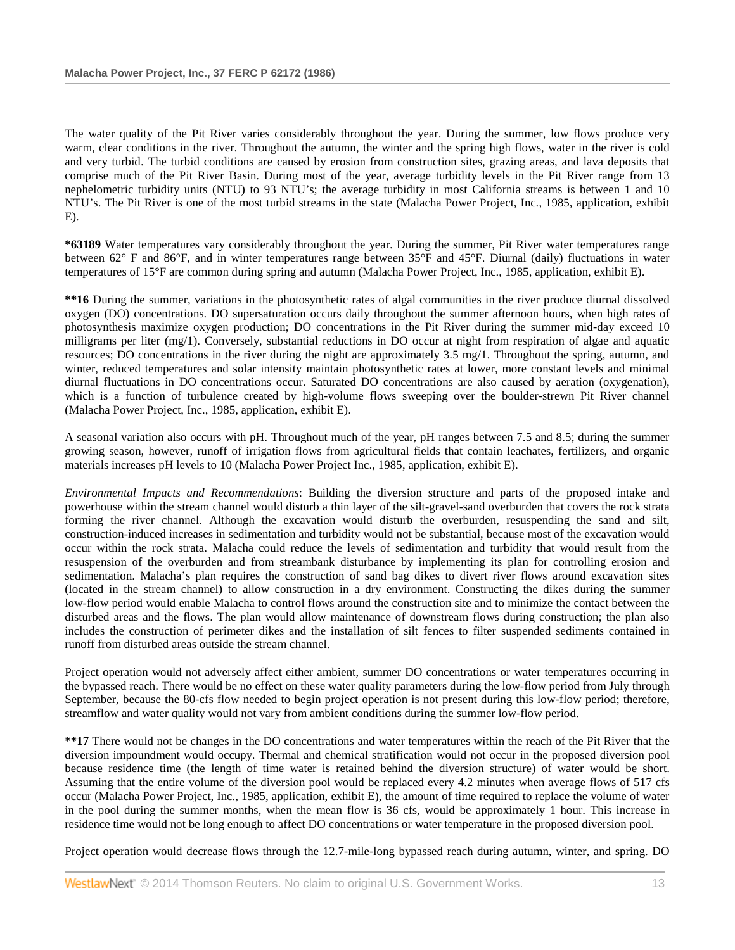The water quality of the Pit River varies considerably throughout the year. During the summer, low flows produce very warm, clear conditions in the river. Throughout the autumn, the winter and the spring high flows, water in the river is cold and very turbid. The turbid conditions are caused by erosion from construction sites, grazing areas, and lava deposits that comprise much of the Pit River Basin. During most of the year, average turbidity levels in the Pit River range from 13 nephelometric turbidity units (NTU) to 93 NTU's; the average turbidity in most California streams is between 1 and 10 NTU's. The Pit River is one of the most turbid streams in the state (Malacha Power Project, Inc., 1985, application, exhibit E).

**\*63189** Water temperatures vary considerably throughout the year. During the summer, Pit River water temperatures range between 62° F and 86°F, and in winter temperatures range between 35°F and 45°F. Diurnal (daily) fluctuations in water temperatures of 15°F are common during spring and autumn (Malacha Power Project, Inc., 1985, application, exhibit E).

**\*\*16** During the summer, variations in the photosynthetic rates of algal communities in the river produce diurnal dissolved oxygen (DO) concentrations. DO supersaturation occurs daily throughout the summer afternoon hours, when high rates of photosynthesis maximize oxygen production; DO concentrations in the Pit River during the summer mid-day exceed 10 milligrams per liter (mg/1). Conversely, substantial reductions in DO occur at night from respiration of algae and aquatic resources; DO concentrations in the river during the night are approximately 3.5 mg/1. Throughout the spring, autumn, and winter, reduced temperatures and solar intensity maintain photosynthetic rates at lower, more constant levels and minimal diurnal fluctuations in DO concentrations occur. Saturated DO concentrations are also caused by aeration (oxygenation), which is a function of turbulence created by high-volume flows sweeping over the boulder-strewn Pit River channel (Malacha Power Project, Inc., 1985, application, exhibit E).

A seasonal variation also occurs with pH. Throughout much of the year, pH ranges between 7.5 and 8.5; during the summer growing season, however, runoff of irrigation flows from agricultural fields that contain leachates, fertilizers, and organic materials increases pH levels to 10 (Malacha Power Project Inc., 1985, application, exhibit E).

*Environmental Impacts and Recommendations*: Building the diversion structure and parts of the proposed intake and powerhouse within the stream channel would disturb a thin layer of the silt-gravel-sand overburden that covers the rock strata forming the river channel. Although the excavation would disturb the overburden, resuspending the sand and silt, construction-induced increases in sedimentation and turbidity would not be substantial, because most of the excavation would occur within the rock strata. Malacha could reduce the levels of sedimentation and turbidity that would result from the resuspension of the overburden and from streambank disturbance by implementing its plan for controlling erosion and sedimentation. Malacha's plan requires the construction of sand bag dikes to divert river flows around excavation sites (located in the stream channel) to allow construction in a dry environment. Constructing the dikes during the summer low-flow period would enable Malacha to control flows around the construction site and to minimize the contact between the disturbed areas and the flows. The plan would allow maintenance of downstream flows during construction; the plan also includes the construction of perimeter dikes and the installation of silt fences to filter suspended sediments contained in runoff from disturbed areas outside the stream channel.

Project operation would not adversely affect either ambient, summer DO concentrations or water temperatures occurring in the bypassed reach. There would be no effect on these water quality parameters during the low-flow period from July through September, because the 80-cfs flow needed to begin project operation is not present during this low-flow period; therefore, streamflow and water quality would not vary from ambient conditions during the summer low-flow period.

**\*\*17** There would not be changes in the DO concentrations and water temperatures within the reach of the Pit River that the diversion impoundment would occupy. Thermal and chemical stratification would not occur in the proposed diversion pool because residence time (the length of time water is retained behind the diversion structure) of water would be short. Assuming that the entire volume of the diversion pool would be replaced every 4.2 minutes when average flows of 517 cfs occur (Malacha Power Project, Inc., 1985, application, exhibit E), the amount of time required to replace the volume of water in the pool during the summer months, when the mean flow is 36 cfs, would be approximately 1 hour. This increase in residence time would not be long enough to affect DO concentrations or water temperature in the proposed diversion pool.

Project operation would decrease flows through the 12.7-mile-long bypassed reach during autumn, winter, and spring. DO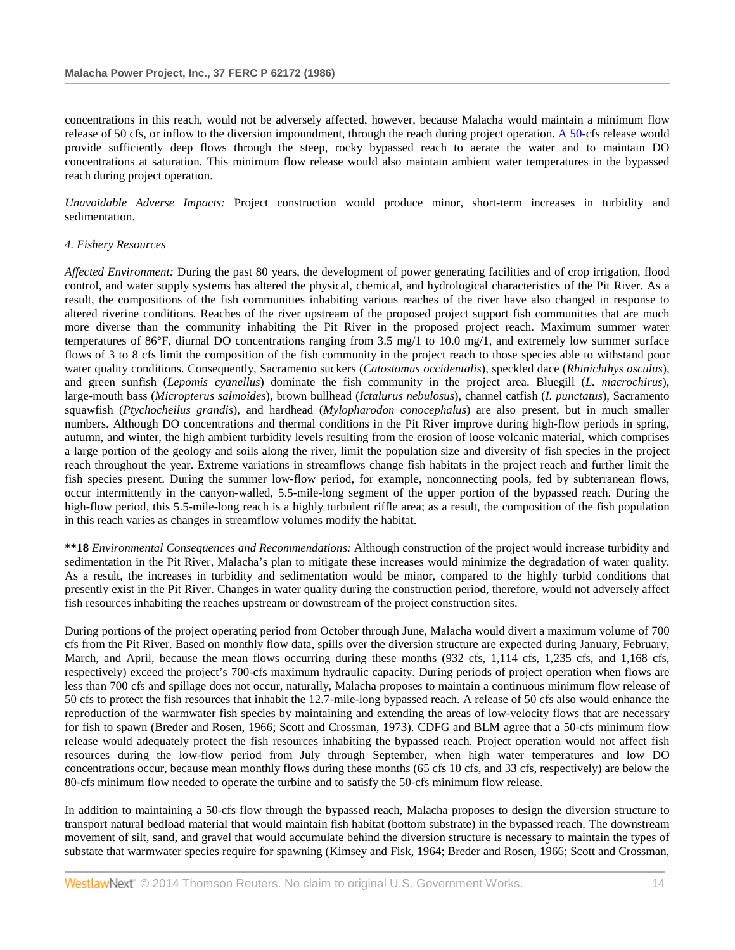concentrations in this reach, would not be adversely affected, however, because Malacha would maintain a minimum flow release of 50 cfs, or inflow to the diversion impoundment, through the reach during project operation. [A 50-c](http://www.westlaw.com/Link/Document/FullText?findType=Y&pubNum=5304&cite=CGOA50&originationContext=document&vr=3.0&rs=cblt1.0&transitionType=DocumentItem&contextData=(sc.Search))fs release would provide sufficiently deep flows through the steep, rocky bypassed reach to aerate the water and to maintain DO concentrations at saturation. This minimum flow release would also maintain ambient water temperatures in the bypassed reach during project operation.

*Unavoidable Adverse Impacts:* Project construction would produce minor, short-term increases in turbidity and sedimentation.

### *4. Fishery Resources*

*Affected Environment:* During the past 80 years, the development of power generating facilities and of crop irrigation, flood control, and water supply systems has altered the physical, chemical, and hydrological characteristics of the Pit River. As a result, the compositions of the fish communities inhabiting various reaches of the river have also changed in response to altered riverine conditions. Reaches of the river upstream of the proposed project support fish communities that are much more diverse than the community inhabiting the Pit River in the proposed project reach. Maximum summer water temperatures of 86°F, diurnal DO concentrations ranging from 3.5 mg/1 to 10.0 mg/1, and extremely low summer surface flows of 3 to 8 cfs limit the composition of the fish community in the project reach to those species able to withstand poor water quality conditions. Consequently, Sacramento suckers (*Catostomus occidentalis*), speckled dace (*Rhinichthys osculus*), and green sunfish (*Lepomis cyanellus*) dominate the fish community in the project area. Bluegill (*L. macrochirus*), large-mouth bass (*Micropterus salmoides*), brown bullhead (*Ictalurus nebulosus*), channel catfish (*I. punctatus*), Sacramento squawfish (*Ptychocheilus grandis*), and hardhead (*Mylopharodon conocephalus*) are also present, but in much smaller numbers. Although DO concentrations and thermal conditions in the Pit River improve during high-flow periods in spring, autumn, and winter, the high ambient turbidity levels resulting from the erosion of loose volcanic material, which comprises a large portion of the geology and soils along the river, limit the population size and diversity of fish species in the project reach throughout the year. Extreme variations in streamflows change fish habitats in the project reach and further limit the fish species present. During the summer low-flow period, for example, nonconnecting pools, fed by subterranean flows, occur intermittently in the canyon-walled, 5.5-mile-long segment of the upper portion of the bypassed reach. During the high-flow period, this 5.5-mile-long reach is a highly turbulent riffle area; as a result, the composition of the fish population in this reach varies as changes in streamflow volumes modify the habitat.

**\*\*18** *Environmental Consequences and Recommendations:* Although construction of the project would increase turbidity and sedimentation in the Pit River, Malacha's plan to mitigate these increases would minimize the degradation of water quality. As a result, the increases in turbidity and sedimentation would be minor, compared to the highly turbid conditions that presently exist in the Pit River. Changes in water quality during the construction period, therefore, would not adversely affect fish resources inhabiting the reaches upstream or downstream of the project construction sites.

During portions of the project operating period from October through June, Malacha would divert a maximum volume of 700 cfs from the Pit River. Based on monthly flow data, spills over the diversion structure are expected during January, February, March, and April, because the mean flows occurring during these months (932 cfs, 1,114 cfs, 1,235 cfs, and 1,168 cfs, respectively) exceed the project's 700-cfs maximum hydraulic capacity. During periods of project operation when flows are less than 700 cfs and spillage does not occur, naturally, Malacha proposes to maintain a continuous minimum flow release of 50 cfs to protect the fish resources that inhabit the 12.7-mile-long bypassed reach. A release of 50 cfs also would enhance the reproduction of the warmwater fish species by maintaining and extending the areas of low-velocity flows that are necessary for fish to spawn (Breder and Rosen, 1966; Scott and Crossman, 1973). CDFG and BLM agree that a 50-cfs minimum flow release would adequately protect the fish resources inhabiting the bypassed reach. Project operation would not affect fish resources during the low-flow period from July through September, when high water temperatures and low DO concentrations occur, because mean monthly flows during these months (65 cfs 10 cfs, and 33 cfs, respectively) are below the 80-cfs minimum flow needed to operate the turbine and to satisfy the 50-cfs minimum flow release.

In addition to maintaining a 50-cfs flow through the bypassed reach, Malacha proposes to design the diversion structure to transport natural bedload material that would maintain fish habitat (bottom substrate) in the bypassed reach. The downstream movement of silt, sand, and gravel that would accumulate behind the diversion structure is necessary to maintain the types of substate that warmwater species require for spawning (Kimsey and Fisk, 1964; Breder and Rosen, 1966; Scott and Crossman,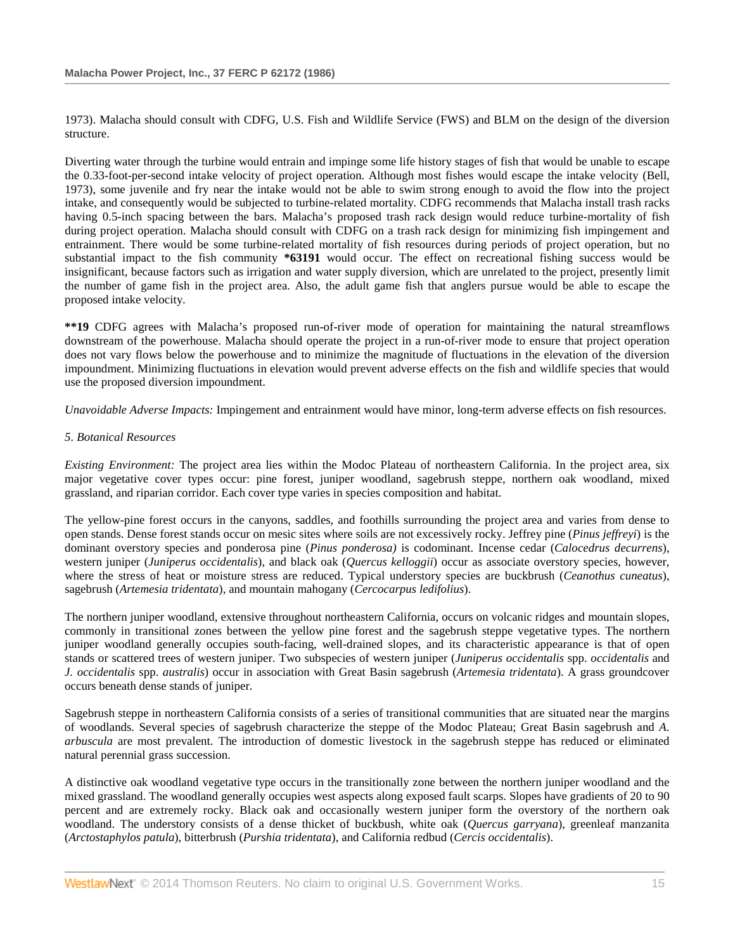1973). Malacha should consult with CDFG, U.S. Fish and Wildlife Service (FWS) and BLM on the design of the diversion structure.

Diverting water through the turbine would entrain and impinge some life history stages of fish that would be unable to escape the 0.33-foot-per-second intake velocity of project operation. Although most fishes would escape the intake velocity (Bell, 1973), some juvenile and fry near the intake would not be able to swim strong enough to avoid the flow into the project intake, and consequently would be subjected to turbine-related mortality. CDFG recommends that Malacha install trash racks having 0.5-inch spacing between the bars. Malacha's proposed trash rack design would reduce turbine-mortality of fish during project operation. Malacha should consult with CDFG on a trash rack design for minimizing fish impingement and entrainment. There would be some turbine-related mortality of fish resources during periods of project operation, but no substantial impact to the fish community **\*63191** would occur. The effect on recreational fishing success would be insignificant, because factors such as irrigation and water supply diversion, which are unrelated to the project, presently limit the number of game fish in the project area. Also, the adult game fish that anglers pursue would be able to escape the proposed intake velocity.

**\*\*19** CDFG agrees with Malacha's proposed run-of-river mode of operation for maintaining the natural streamflows downstream of the powerhouse. Malacha should operate the project in a run-of-river mode to ensure that project operation does not vary flows below the powerhouse and to minimize the magnitude of fluctuations in the elevation of the diversion impoundment. Minimizing fluctuations in elevation would prevent adverse effects on the fish and wildlife species that would use the proposed diversion impoundment.

*Unavoidable Adverse Impacts:* Impingement and entrainment would have minor, long-term adverse effects on fish resources.

# *5. Botanical Resources*

*Existing Environment:* The project area lies within the Modoc Plateau of northeastern California. In the project area, six major vegetative cover types occur: pine forest, juniper woodland, sagebrush steppe, northern oak woodland, mixed grassland, and riparian corridor. Each cover type varies in species composition and habitat.

The yellow-pine forest occurs in the canyons, saddles, and foothills surrounding the project area and varies from dense to open stands. Dense forest stands occur on mesic sites where soils are not excessively rocky. Jeffrey pine (*Pinus jeffreyi*) is the dominant overstory species and ponderosa pine (*Pinus ponderosa)* is codominant. Incense cedar (*Calocedrus decurrens*), western juniper (*Juniperus occidentalis*), and black oak (*Quercus kelloggii*) occur as associate overstory species, however, where the stress of heat or moisture stress are reduced. Typical understory species are buckbrush (*Ceanothus cuneatus*), sagebrush (*Artemesia tridentata*), and mountain mahogany (*Cercocarpus ledifolius*).

The northern juniper woodland, extensive throughout northeastern California, occurs on volcanic ridges and mountain slopes, commonly in transitional zones between the yellow pine forest and the sagebrush steppe vegetative types. The northern juniper woodland generally occupies south-facing, well-drained slopes, and its characteristic appearance is that of open stands or scattered trees of western juniper. Two subspecies of western juniper (*Juniperus occidentalis* spp. *occidentalis* and *J. occidentalis* spp. *australis*) occur in association with Great Basin sagebrush (*Artemesia tridentata*). A grass groundcover occurs beneath dense stands of juniper.

Sagebrush steppe in northeastern California consists of a series of transitional communities that are situated near the margins of woodlands. Several species of sagebrush characterize the steppe of the Modoc Plateau; Great Basin sagebrush and *A*. *arbuscula* are most prevalent. The introduction of domestic livestock in the sagebrush steppe has reduced or eliminated natural perennial grass succession.

A distinctive oak woodland vegetative type occurs in the transitionally zone between the northern juniper woodland and the mixed grassland. The woodland generally occupies west aspects along exposed fault scarps. Slopes have gradients of 20 to 90 percent and are extremely rocky. Black oak and occasionally western juniper form the overstory of the northern oak woodland. The understory consists of a dense thicket of buckbush, white oak (*Quercus garryana*), greenleaf manzanita (*Arctostaphylos patula*), bitterbrush (*Purshia tridentata*), and California redbud (*Cercis occidentalis*).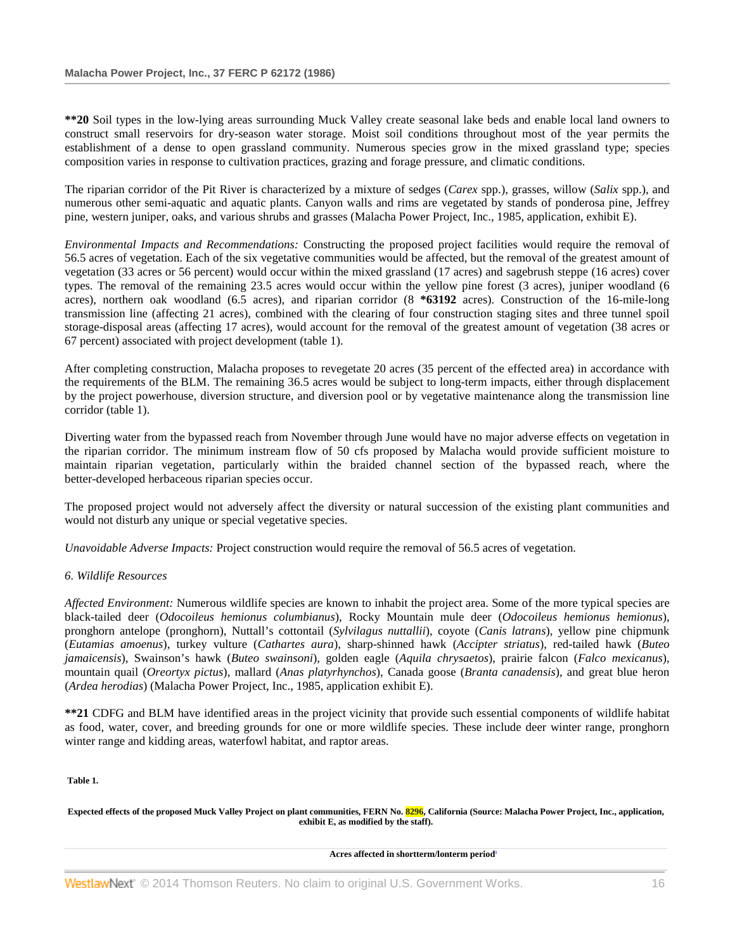**\*\*20** Soil types in the low-lying areas surrounding Muck Valley create seasonal lake beds and enable local land owners to construct small reservoirs for dry-season water storage. Moist soil conditions throughout most of the year permits the establishment of a dense to open grassland community. Numerous species grow in the mixed grassland type; species composition varies in response to cultivation practices, grazing and forage pressure, and climatic conditions.

The riparian corridor of the Pit River is characterized by a mixture of sedges (*Carex* spp.), grasses, willow (*Salix* spp.), and numerous other semi-aquatic and aquatic plants. Canyon walls and rims are vegetated by stands of ponderosa pine, Jeffrey pine, western juniper, oaks, and various shrubs and grasses (Malacha Power Project, Inc., 1985, application, exhibit E).

*Environmental Impacts and Recommendations:* Constructing the proposed project facilities would require the removal of 56.5 acres of vegetation. Each of the six vegetative communities would be affected, but the removal of the greatest amount of vegetation (33 acres or 56 percent) would occur within the mixed grassland (17 acres) and sagebrush steppe (16 acres) cover types. The removal of the remaining 23.5 acres would occur within the yellow pine forest (3 acres), juniper woodland (6 acres), northern oak woodland (6.5 acres), and riparian corridor (8 **\*63192** acres). Construction of the 16-mile-long transmission line (affecting 21 acres), combined with the clearing of four construction staging sites and three tunnel spoil storage-disposal areas (affecting 17 acres), would account for the removal of the greatest amount of vegetation (38 acres or 67 percent) associated with project development (table 1).

After completing construction, Malacha proposes to revegetate 20 acres (35 percent of the effected area) in accordance with the requirements of the BLM. The remaining 36.5 acres would be subject to long-term impacts, either through displacement by the project powerhouse, diversion structure, and diversion pool or by vegetative maintenance along the transmission line corridor (table 1).

Diverting water from the bypassed reach from November through June would have no major adverse effects on vegetation in the riparian corridor. The minimum instream flow of 50 cfs proposed by Malacha would provide sufficient moisture to maintain riparian vegetation, particularly within the braided channel section of the bypassed reach, where the better-developed herbaceous riparian species occur.

The proposed project would not adversely affect the diversity or natural succession of the existing plant communities and would not disturb any unique or special vegetative species.

*Unavoidable Adverse Impacts:* Project construction would require the removal of 56.5 acres of vegetation.

### *6. Wildlife Resources*

*Affected Environment:* Numerous wildlife species are known to inhabit the project area. Some of the more typical species are black-tailed deer (*Odocoileus hemionus columbianus*), Rocky Mountain mule deer (*Odocoileus hemionus hemionus*), pronghorn antelope (pronghorn), Nuttall's cottontail (*Sylvilagus nuttallii*), coyote (*Canis latrans*), yellow pine chipmunk (*Eutamias amoenus*), turkey vulture (*Cathartes aura*), sharp-shinned hawk (*Accipter striatus*), red-tailed hawk (*Buteo jamaicensis*), Swainson's hawk (*Buteo swainsoni*), golden eagle (*Aquila chrysaetos*), prairie falcon (*Falco mexicanus*), mountain quail (*Oreortyx pictus*), mallard (*Anas platyrhynchos*), Canada goose (*Branta canadensis*), and great blue heron (*Ardea herodias*) (Malacha Power Project, Inc., 1985, application exhibit E).

**\*\*21** CDFG and BLM have identified areas in the project vicinity that provide such essential components of wildlife habitat as food, water, cover, and breeding grounds for one or more wildlife species. These include deer winter range, pronghorn winter range and kidding areas, waterfowl habitat, and raptor areas.

**Table 1.**

**Expected effects of the proposed Muck Valley Project on plant communities, FERN No. 8296, California (Source: Malacha Power Project, Inc., application, exhibit E, as modified by the staff).**

Acres affected in shortterm/lonterm period<sup>1</sup>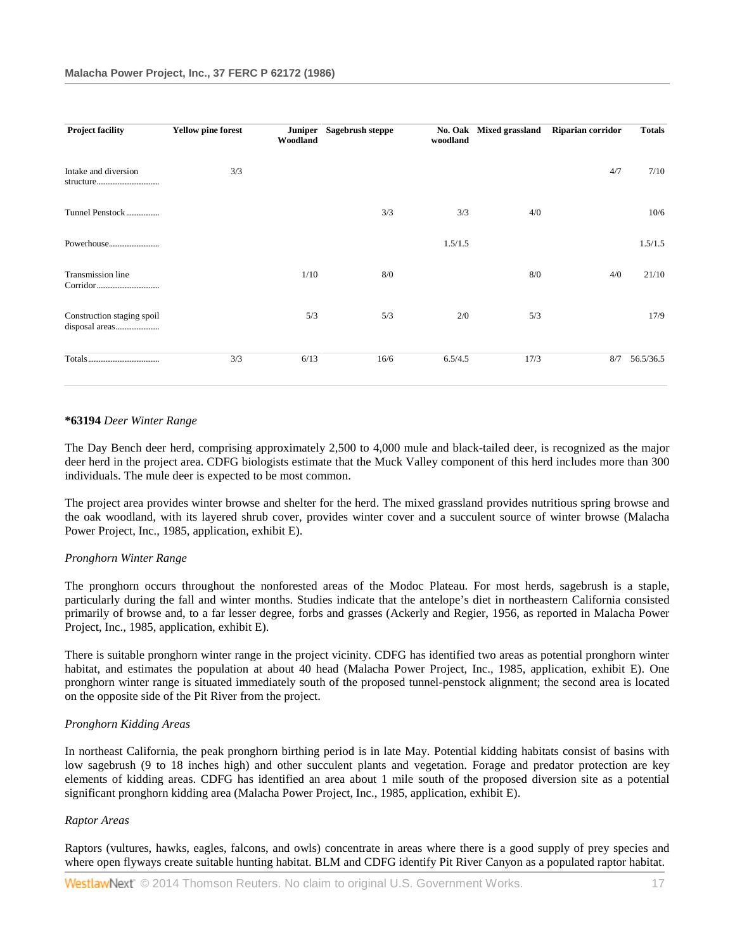| <b>Project facility</b>    | <b>Yellow pine forest</b> | Woodland | Juniper Sagebrush steppe | No. Oak<br>woodland | <b>Mixed grassland</b> | Riparian corridor | <b>Totals</b> |
|----------------------------|---------------------------|----------|--------------------------|---------------------|------------------------|-------------------|---------------|
| Intake and diversion       | 3/3                       |          |                          |                     |                        | 4/7               | 7/10          |
| Tunnel Penstock            |                           |          | 3/3                      | 3/3                 | 4/0                    |                   | 10/6          |
|                            |                           |          |                          | 1.5/1.5             |                        |                   | 1.5/1.5       |
| <b>Transmission line</b>   |                           | 1/10     | 8/0                      |                     | 8/0                    | 4/0               | 21/10         |
| Construction staging spoil |                           | 5/3      | 5/3                      | 2/0                 | 5/3                    |                   | 17/9          |
|                            | 3/3                       | 6/13     | 16/6                     | 6.5/4.5             | 17/3                   | 8/7               | 56.5/36.5     |

#### **\*63194** *Deer Winter Range*

The Day Bench deer herd, comprising approximately 2,500 to 4,000 mule and black-tailed deer, is recognized as the major deer herd in the project area. CDFG biologists estimate that the Muck Valley component of this herd includes more than 300 individuals. The mule deer is expected to be most common.

The project area provides winter browse and shelter for the herd. The mixed grassland provides nutritious spring browse and the oak woodland, with its layered shrub cover, provides winter cover and a succulent source of winter browse (Malacha Power Project, Inc., 1985, application, exhibit E).

### *Pronghorn Winter Range*

The pronghorn occurs throughout the nonforested areas of the Modoc Plateau. For most herds, sagebrush is a staple, particularly during the fall and winter months. Studies indicate that the antelope's diet in northeastern California consisted primarily of browse and, to a far lesser degree, forbs and grasses (Ackerly and Regier, 1956, as reported in Malacha Power Project, Inc., 1985, application, exhibit E).

There is suitable pronghorn winter range in the project vicinity. CDFG has identified two areas as potential pronghorn winter habitat, and estimates the population at about 40 head (Malacha Power Project, Inc., 1985, application, exhibit E). One pronghorn winter range is situated immediately south of the proposed tunnel-penstock alignment; the second area is located on the opposite side of the Pit River from the project.

### *Pronghorn Kidding Areas*

In northeast California, the peak pronghorn birthing period is in late May. Potential kidding habitats consist of basins with low sagebrush (9 to 18 inches high) and other succulent plants and vegetation. Forage and predator protection are key elements of kidding areas. CDFG has identified an area about 1 mile south of the proposed diversion site as a potential significant pronghorn kidding area (Malacha Power Project, Inc., 1985, application, exhibit E).

### *Raptor Areas*

Raptors (vultures, hawks, eagles, falcons, and owls) concentrate in areas where there is a good supply of prey species and where open flyways create suitable hunting habitat. BLM and CDFG identify Pit River Canyon as a populated raptor habitat.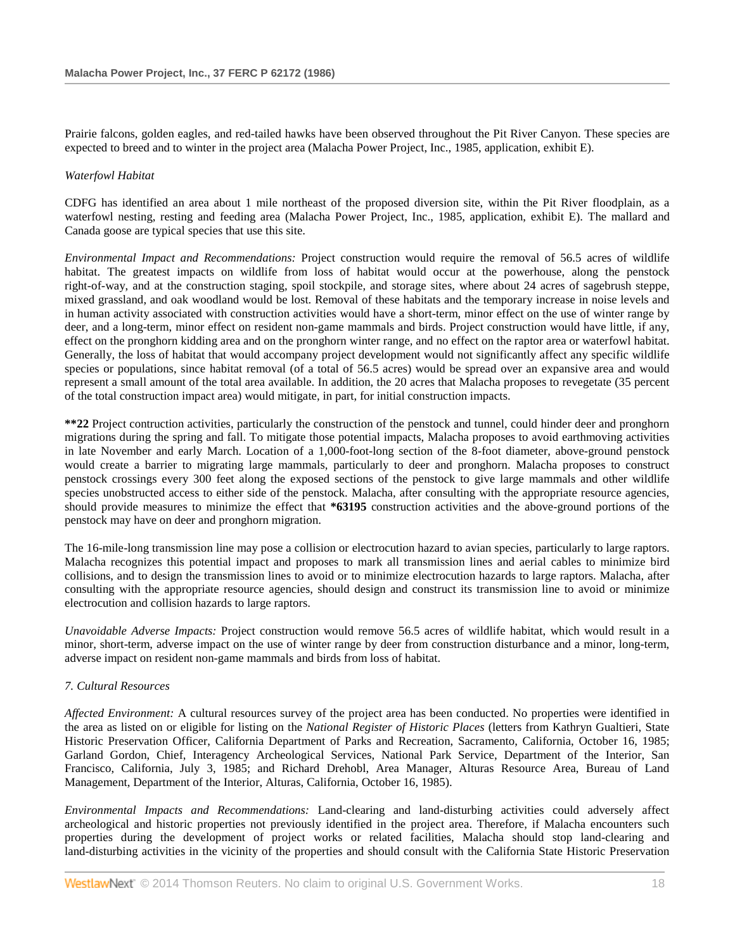Prairie falcons, golden eagles, and red-tailed hawks have been observed throughout the Pit River Canyon. These species are expected to breed and to winter in the project area (Malacha Power Project, Inc., 1985, application, exhibit E).

# *Waterfowl Habitat*

CDFG has identified an area about 1 mile northeast of the proposed diversion site, within the Pit River floodplain, as a waterfowl nesting, resting and feeding area (Malacha Power Project, Inc., 1985, application, exhibit E). The mallard and Canada goose are typical species that use this site.

*Environmental Impact and Recommendations:* Project construction would require the removal of 56.5 acres of wildlife habitat. The greatest impacts on wildlife from loss of habitat would occur at the powerhouse, along the penstock right-of-way, and at the construction staging, spoil stockpile, and storage sites, where about 24 acres of sagebrush steppe, mixed grassland, and oak woodland would be lost. Removal of these habitats and the temporary increase in noise levels and in human activity associated with construction activities would have a short-term, minor effect on the use of winter range by deer, and a long-term, minor effect on resident non-game mammals and birds. Project construction would have little, if any, effect on the pronghorn kidding area and on the pronghorn winter range, and no effect on the raptor area or waterfowl habitat. Generally, the loss of habitat that would accompany project development would not significantly affect any specific wildlife species or populations, since habitat removal (of a total of 56.5 acres) would be spread over an expansive area and would represent a small amount of the total area available. In addition, the 20 acres that Malacha proposes to revegetate (35 percent of the total construction impact area) would mitigate, in part, for initial construction impacts.

**\*\*22** Project contruction activities, particularly the construction of the penstock and tunnel, could hinder deer and pronghorn migrations during the spring and fall. To mitigate those potential impacts, Malacha proposes to avoid earthmoving activities in late November and early March. Location of a 1,000-foot-long section of the 8-foot diameter, above-ground penstock would create a barrier to migrating large mammals, particularly to deer and pronghorn. Malacha proposes to construct penstock crossings every 300 feet along the exposed sections of the penstock to give large mammals and other wildlife species unobstructed access to either side of the penstock. Malacha, after consulting with the appropriate resource agencies, should provide measures to minimize the effect that **\*63195** construction activities and the above-ground portions of the penstock may have on deer and pronghorn migration.

The 16-mile-long transmission line may pose a collision or electrocution hazard to avian species, particularly to large raptors. Malacha recognizes this potential impact and proposes to mark all transmission lines and aerial cables to minimize bird collisions, and to design the transmission lines to avoid or to minimize electrocution hazards to large raptors. Malacha, after consulting with the appropriate resource agencies, should design and construct its transmission line to avoid or minimize electrocution and collision hazards to large raptors.

*Unavoidable Adverse Impacts:* Project construction would remove 56.5 acres of wildlife habitat, which would result in a minor, short-term, adverse impact on the use of winter range by deer from construction disturbance and a minor, long-term, adverse impact on resident non-game mammals and birds from loss of habitat.

# *7. Cultural Resources*

*Affected Environment:* A cultural resources survey of the project area has been conducted. No properties were identified in the area as listed on or eligible for listing on the *National Register of Historic Places* (letters from Kathryn Gualtieri, State Historic Preservation Officer, California Department of Parks and Recreation, Sacramento, California, October 16, 1985; Garland Gordon, Chief, Interagency Archeological Services, National Park Service, Department of the Interior, San Francisco, California, July 3, 1985; and Richard Drehobl, Area Manager, Alturas Resource Area, Bureau of Land Management, Department of the Interior, Alturas, California, October 16, 1985).

*Environmental Impacts and Recommendations:* Land-clearing and land-disturbing activities could adversely affect archeological and historic properties not previously identified in the project area. Therefore, if Malacha encounters such properties during the development of project works or related facilities, Malacha should stop land-clearing and land-disturbing activities in the vicinity of the properties and should consult with the California State Historic Preservation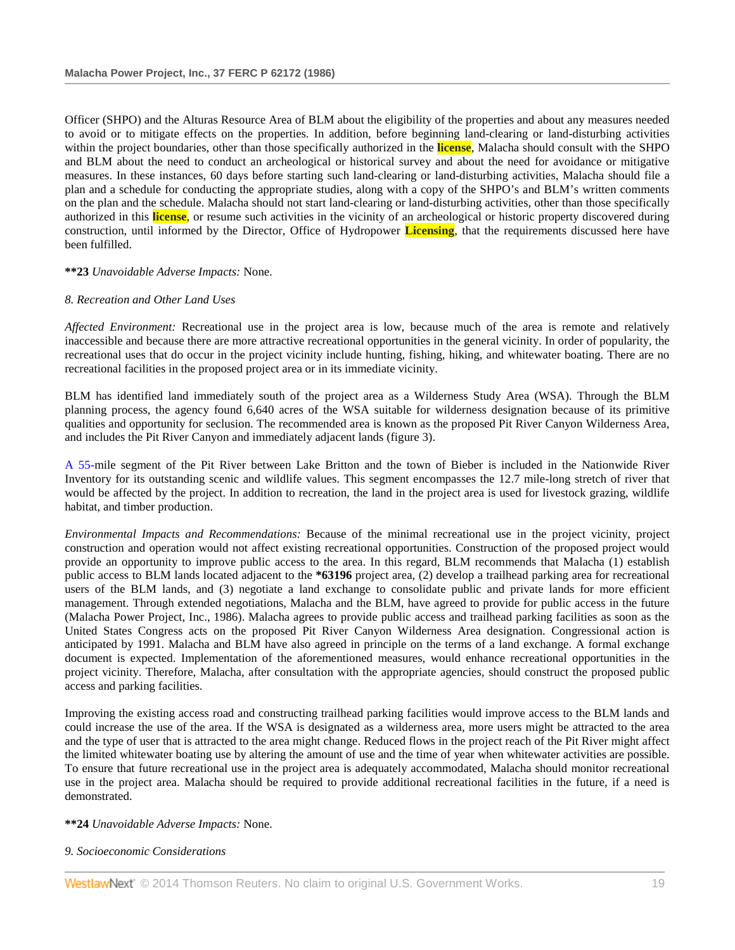Officer (SHPO) and the Alturas Resource Area of BLM about the eligibility of the properties and about any measures needed to avoid or to mitigate effects on the properties. In addition, before beginning land-clearing or land-disturbing activities within the project boundaries, other than those specifically authorized in the **license**, Malacha should consult with the SHPO and BLM about the need to conduct an archeological or historical survey and about the need for avoidance or mitigative measures. In these instances, 60 days before starting such land-clearing or land-disturbing activities, Malacha should file a plan and a schedule for conducting the appropriate studies, along with a copy of the SHPO's and BLM's written comments on the plan and the schedule. Malacha should not start land-clearing or land-disturbing activities, other than those specifically authorized in this **license**, or resume such activities in the vicinity of an archeological or historic property discovered during construction, until informed by the Director, Office of Hydropower **Licensing**, that the requirements discussed here have been fulfilled.

### **\*\*23** *Unavoidable Adverse Impacts:* None.

### *8. Recreation and Other Land Uses*

*Affected Environment:* Recreational use in the project area is low, because much of the area is remote and relatively inaccessible and because there are more attractive recreational opportunities in the general vicinity. In order of popularity, the recreational uses that do occur in the project vicinity include hunting, fishing, hiking, and whitewater boating. There are no recreational facilities in the proposed project area or in its immediate vicinity.

BLM has identified land immediately south of the project area as a Wilderness Study Area (WSA). Through the BLM planning process, the agency found 6,640 acres of the WSA suitable for wilderness designation because of its primitive qualities and opportunity for seclusion. The recommended area is known as the proposed Pit River Canyon Wilderness Area, and includes the Pit River Canyon and immediately adjacent lands (figure 3).

[A 55-m](http://www.westlaw.com/Link/Document/FullText?findType=Y&pubNum=5304&cite=CGOA55&originationContext=document&vr=3.0&rs=cblt1.0&transitionType=DocumentItem&contextData=(sc.Search))ile segment of the Pit River between Lake Britton and the town of Bieber is included in the Nationwide River Inventory for its outstanding scenic and wildlife values. This segment encompasses the 12.7 mile-long stretch of river that would be affected by the project. In addition to recreation, the land in the project area is used for livestock grazing, wildlife habitat, and timber production.

*Environmental Impacts and Recommendations:* Because of the minimal recreational use in the project vicinity, project construction and operation would not affect existing recreational opportunities. Construction of the proposed project would provide an opportunity to improve public access to the area. In this regard, BLM recommends that Malacha (1) establish public access to BLM lands located adjacent to the **\*63196** project area, (2) develop a trailhead parking area for recreational users of the BLM lands, and (3) negotiate a land exchange to consolidate public and private lands for more efficient management. Through extended negotiations, Malacha and the BLM, have agreed to provide for public access in the future (Malacha Power Project, Inc., 1986). Malacha agrees to provide public access and trailhead parking facilities as soon as the United States Congress acts on the proposed Pit River Canyon Wilderness Area designation. Congressional action is anticipated by 1991. Malacha and BLM have also agreed in principle on the terms of a land exchange. A formal exchange document is expected. Implementation of the aforementioned measures, would enhance recreational opportunities in the project vicinity. Therefore, Malacha, after consultation with the appropriate agencies, should construct the proposed public access and parking facilities.

Improving the existing access road and constructing trailhead parking facilities would improve access to the BLM lands and could increase the use of the area. If the WSA is designated as a wilderness area, more users might be attracted to the area and the type of user that is attracted to the area might change. Reduced flows in the project reach of the Pit River might affect the limited whitewater boating use by altering the amount of use and the time of year when whitewater activities are possible. To ensure that future recreational use in the project area is adequately accommodated, Malacha should monitor recreational use in the project area. Malacha should be required to provide additional recreational facilities in the future, if a need is demonstrated.

### **\*\*24** *Unavoidable Adverse Impacts:* None.

### *9. Socioeconomic Considerations*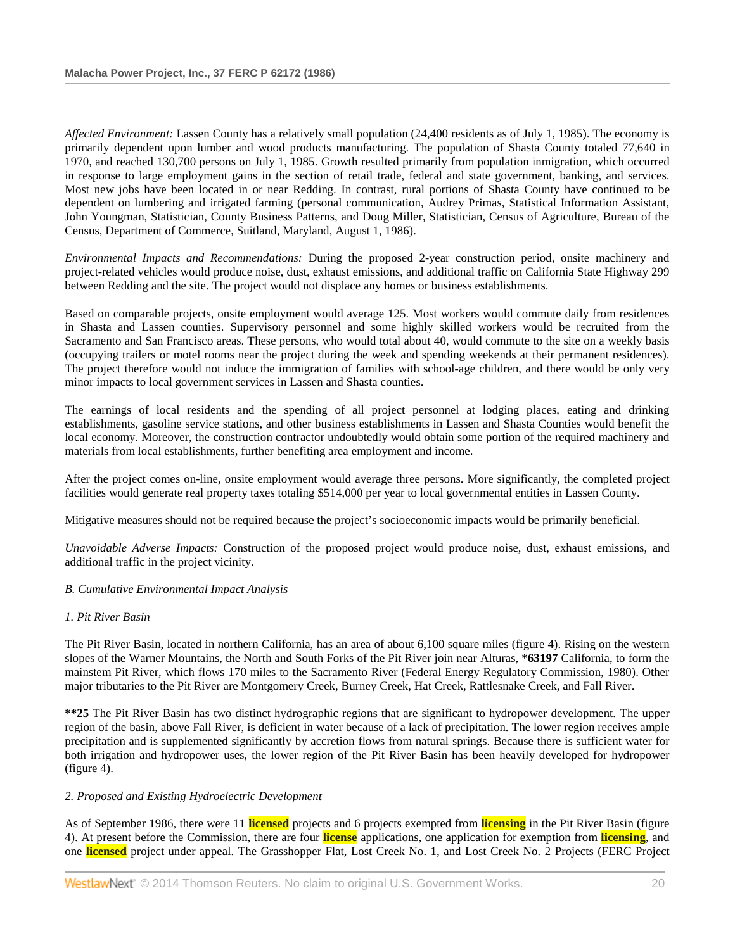*Affected Environment:* Lassen County has a relatively small population (24,400 residents as of July 1, 1985). The economy is primarily dependent upon lumber and wood products manufacturing. The population of Shasta County totaled 77,640 in 1970, and reached 130,700 persons on July 1, 1985. Growth resulted primarily from population inmigration, which occurred in response to large employment gains in the section of retail trade, federal and state government, banking, and services. Most new jobs have been located in or near Redding. In contrast, rural portions of Shasta County have continued to be dependent on lumbering and irrigated farming (personal communication, Audrey Primas, Statistical Information Assistant, John Youngman, Statistician, County Business Patterns, and Doug Miller, Statistician, Census of Agriculture, Bureau of the Census, Department of Commerce, Suitland, Maryland, August 1, 1986).

*Environmental Impacts and Recommendations:* During the proposed 2-year construction period, onsite machinery and project-related vehicles would produce noise, dust, exhaust emissions, and additional traffic on California State Highway 299 between Redding and the site. The project would not displace any homes or business establishments.

Based on comparable projects, onsite employment would average 125. Most workers would commute daily from residences in Shasta and Lassen counties. Supervisory personnel and some highly skilled workers would be recruited from the Sacramento and San Francisco areas. These persons, who would total about 40, would commute to the site on a weekly basis (occupying trailers or motel rooms near the project during the week and spending weekends at their permanent residences). The project therefore would not induce the immigration of families with school-age children, and there would be only very minor impacts to local government services in Lassen and Shasta counties.

The earnings of local residents and the spending of all project personnel at lodging places, eating and drinking establishments, gasoline service stations, and other business establishments in Lassen and Shasta Counties would benefit the local economy. Moreover, the construction contractor undoubtedly would obtain some portion of the required machinery and materials from local establishments, further benefiting area employment and income.

After the project comes on-line, onsite employment would average three persons. More significantly, the completed project facilities would generate real property taxes totaling \$514,000 per year to local governmental entities in Lassen County.

Mitigative measures should not be required because the project's socioeconomic impacts would be primarily beneficial.

*Unavoidable Adverse Impacts:* Construction of the proposed project would produce noise, dust, exhaust emissions, and additional traffic in the project vicinity.

### *B. Cumulative Environmental Impact Analysis*

# *1. Pit River Basin*

The Pit River Basin, located in northern California, has an area of about 6,100 square miles (figure 4). Rising on the western slopes of the Warner Mountains, the North and South Forks of the Pit River join near Alturas, **\*63197** California, to form the mainstem Pit River, which flows 170 miles to the Sacramento River (Federal Energy Regulatory Commission, 1980). Other major tributaries to the Pit River are Montgomery Creek, Burney Creek, Hat Creek, Rattlesnake Creek, and Fall River.

**\*\*25** The Pit River Basin has two distinct hydrographic regions that are significant to hydropower development. The upper region of the basin, above Fall River, is deficient in water because of a lack of precipitation. The lower region receives ample precipitation and is supplemented significantly by accretion flows from natural springs. Because there is sufficient water for both irrigation and hydropower uses, the lower region of the Pit River Basin has been heavily developed for hydropower (figure 4).

### *2. Proposed and Existing Hydroelectric Development*

As of September 1986, there were 11 **licensed** projects and 6 projects exempted from **licensing** in the Pit River Basin (figure 4). At present before the Commission, there are four **license** applications, one application for exemption from **licensing**, and one **licensed** project under appeal. The Grasshopper Flat, Lost Creek No. 1, and Lost Creek No. 2 Projects (FERC Project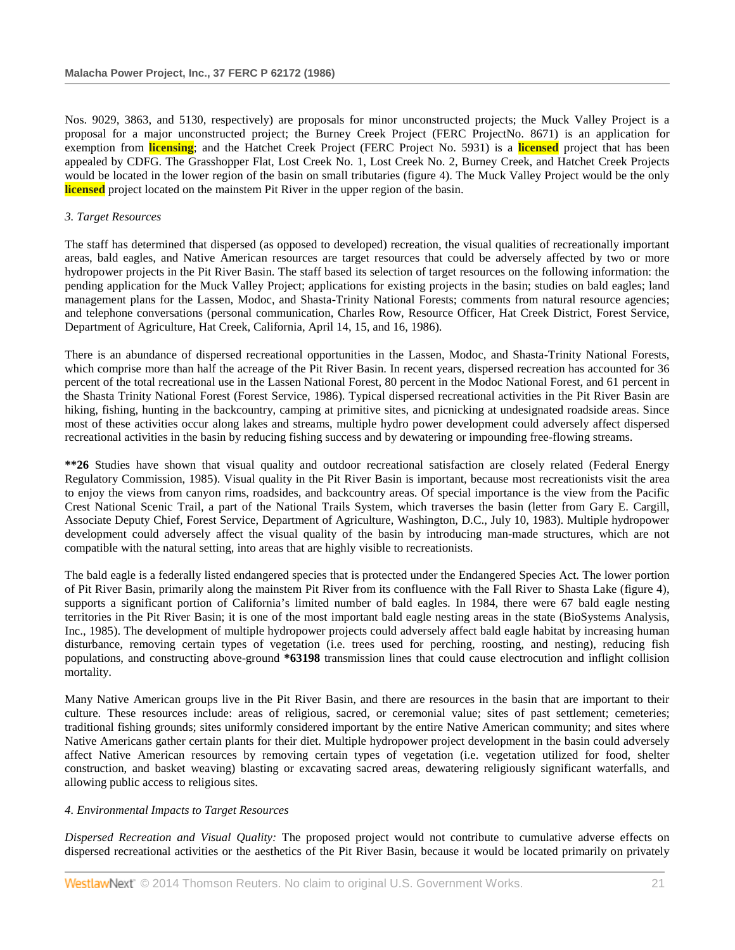Nos. 9029, 3863, and 5130, respectively) are proposals for minor unconstructed projects; the Muck Valley Project is a proposal for a major unconstructed project; the Burney Creek Project (FERC ProjectNo. 8671) is an application for exemption from **licensing**; and the Hatchet Creek Project (FERC Project No. 5931) is a **licensed** project that has been appealed by CDFG. The Grasshopper Flat, Lost Creek No. 1, Lost Creek No. 2, Burney Creek, and Hatchet Creek Projects would be located in the lower region of the basin on small tributaries (figure 4). The Muck Valley Project would be the only **licensed** project located on the mainstem Pit River in the upper region of the basin.

# *3. Target Resources*

The staff has determined that dispersed (as opposed to developed) recreation, the visual qualities of recreationally important areas, bald eagles, and Native American resources are target resources that could be adversely affected by two or more hydropower projects in the Pit River Basin. The staff based its selection of target resources on the following information: the pending application for the Muck Valley Project; applications for existing projects in the basin; studies on bald eagles; land management plans for the Lassen, Modoc, and Shasta-Trinity National Forests; comments from natural resource agencies; and telephone conversations (personal communication, Charles Row, Resource Officer, Hat Creek District, Forest Service, Department of Agriculture, Hat Creek, California, April 14, 15, and 16, 1986).

There is an abundance of dispersed recreational opportunities in the Lassen, Modoc, and Shasta-Trinity National Forests, which comprise more than half the acreage of the Pit River Basin. In recent years, dispersed recreation has accounted for 36 percent of the total recreational use in the Lassen National Forest, 80 percent in the Modoc National Forest, and 61 percent in the Shasta Trinity National Forest (Forest Service, 1986). Typical dispersed recreational activities in the Pit River Basin are hiking, fishing, hunting in the backcountry, camping at primitive sites, and picnicking at undesignated roadside areas. Since most of these activities occur along lakes and streams, multiple hydro power development could adversely affect dispersed recreational activities in the basin by reducing fishing success and by dewatering or impounding free-flowing streams.

**\*\*26** Studies have shown that visual quality and outdoor recreational satisfaction are closely related (Federal Energy Regulatory Commission, 1985). Visual quality in the Pit River Basin is important, because most recreationists visit the area to enjoy the views from canyon rims, roadsides, and backcountry areas. Of special importance is the view from the Pacific Crest National Scenic Trail, a part of the National Trails System, which traverses the basin (letter from Gary E. Cargill, Associate Deputy Chief, Forest Service, Department of Agriculture, Washington, D.C., July 10, 1983). Multiple hydropower development could adversely affect the visual quality of the basin by introducing man-made structures, which are not compatible with the natural setting, into areas that are highly visible to recreationists.

The bald eagle is a federally listed endangered species that is protected under the Endangered Species Act. The lower portion of Pit River Basin, primarily along the mainstem Pit River from its confluence with the Fall River to Shasta Lake (figure 4), supports a significant portion of California's limited number of bald eagles. In 1984, there were 67 bald eagle nesting territories in the Pit River Basin; it is one of the most important bald eagle nesting areas in the state (BioSystems Analysis, Inc., 1985). The development of multiple hydropower projects could adversely affect bald eagle habitat by increasing human disturbance, removing certain types of vegetation (i.e. trees used for perching, roosting, and nesting), reducing fish populations, and constructing above-ground **\*63198** transmission lines that could cause electrocution and inflight collision mortality.

Many Native American groups live in the Pit River Basin, and there are resources in the basin that are important to their culture. These resources include: areas of religious, sacred, or ceremonial value; sites of past settlement; cemeteries; traditional fishing grounds; sites uniformly considered important by the entire Native American community; and sites where Native Americans gather certain plants for their diet. Multiple hydropower project development in the basin could adversely affect Native American resources by removing certain types of vegetation (i.e. vegetation utilized for food, shelter construction, and basket weaving) blasting or excavating sacred areas, dewatering religiously significant waterfalls, and allowing public access to religious sites.

# *4. Environmental Impacts to Target Resources*

*Dispersed Recreation and Visual Quality:* The proposed project would not contribute to cumulative adverse effects on dispersed recreational activities or the aesthetics of the Pit River Basin, because it would be located primarily on privately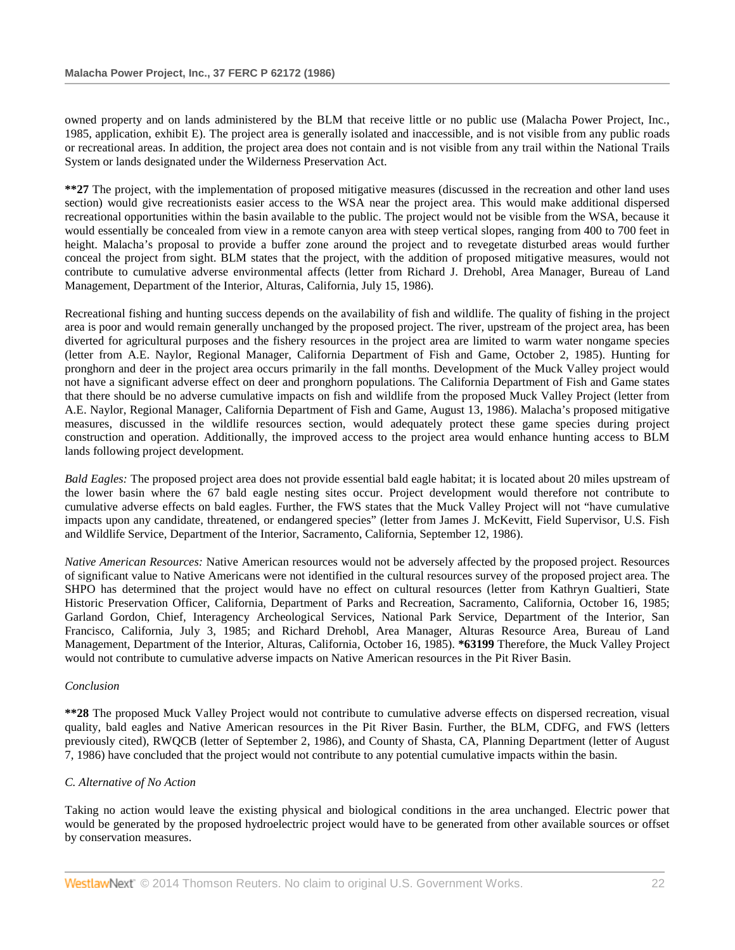owned property and on lands administered by the BLM that receive little or no public use (Malacha Power Project, Inc., 1985, application, exhibit E). The project area is generally isolated and inaccessible, and is not visible from any public roads or recreational areas. In addition, the project area does not contain and is not visible from any trail within the National Trails System or lands designated under the Wilderness Preservation Act.

**\*\*27** The project, with the implementation of proposed mitigative measures (discussed in the recreation and other land uses section) would give recreationists easier access to the WSA near the project area. This would make additional dispersed recreational opportunities within the basin available to the public. The project would not be visible from the WSA, because it would essentially be concealed from view in a remote canyon area with steep vertical slopes, ranging from 400 to 700 feet in height. Malacha's proposal to provide a buffer zone around the project and to revegetate disturbed areas would further conceal the project from sight. BLM states that the project, with the addition of proposed mitigative measures, would not contribute to cumulative adverse environmental affects (letter from Richard J. Drehobl, Area Manager, Bureau of Land Management, Department of the Interior, Alturas, California, July 15, 1986).

Recreational fishing and hunting success depends on the availability of fish and wildlife. The quality of fishing in the project area is poor and would remain generally unchanged by the proposed project. The river, upstream of the project area, has been diverted for agricultural purposes and the fishery resources in the project area are limited to warm water nongame species (letter from A.E. Naylor, Regional Manager, California Department of Fish and Game, October 2, 1985). Hunting for pronghorn and deer in the project area occurs primarily in the fall months. Development of the Muck Valley project would not have a significant adverse effect on deer and pronghorn populations. The California Department of Fish and Game states that there should be no adverse cumulative impacts on fish and wildlife from the proposed Muck Valley Project (letter from A.E. Naylor, Regional Manager, California Department of Fish and Game, August 13, 1986). Malacha's proposed mitigative measures, discussed in the wildlife resources section, would adequately protect these game species during project construction and operation. Additionally, the improved access to the project area would enhance hunting access to BLM lands following project development.

*Bald Eagles:* The proposed project area does not provide essential bald eagle habitat; it is located about 20 miles upstream of the lower basin where the 67 bald eagle nesting sites occur. Project development would therefore not contribute to cumulative adverse effects on bald eagles. Further, the FWS states that the Muck Valley Project will not "have cumulative impacts upon any candidate, threatened, or endangered species" (letter from James J. McKevitt, Field Supervisor, U.S. Fish and Wildlife Service, Department of the Interior, Sacramento, California, September 12, 1986).

*Native American Resources:* Native American resources would not be adversely affected by the proposed project. Resources of significant value to Native Americans were not identified in the cultural resources survey of the proposed project area. The SHPO has determined that the project would have no effect on cultural resources (letter from Kathryn Gualtieri, State Historic Preservation Officer, California, Department of Parks and Recreation, Sacramento, California, October 16, 1985; Garland Gordon, Chief, Interagency Archeological Services, National Park Service, Department of the Interior, San Francisco, California, July 3, 1985; and Richard Drehobl, Area Manager, Alturas Resource Area, Bureau of Land Management, Department of the Interior, Alturas, California, October 16, 1985). **\*63199** Therefore, the Muck Valley Project would not contribute to cumulative adverse impacts on Native American resources in the Pit River Basin.

### *Conclusion*

**\*\*28** The proposed Muck Valley Project would not contribute to cumulative adverse effects on dispersed recreation, visual quality, bald eagles and Native American resources in the Pit River Basin. Further, the BLM, CDFG, and FWS (letters previously cited), RWQCB (letter of September 2, 1986), and County of Shasta, CA, Planning Department (letter of August 7, 1986) have concluded that the project would not contribute to any potential cumulative impacts within the basin.

### *C. Alternative of No Action*

Taking no action would leave the existing physical and biological conditions in the area unchanged. Electric power that would be generated by the proposed hydroelectric project would have to be generated from other available sources or offset by conservation measures.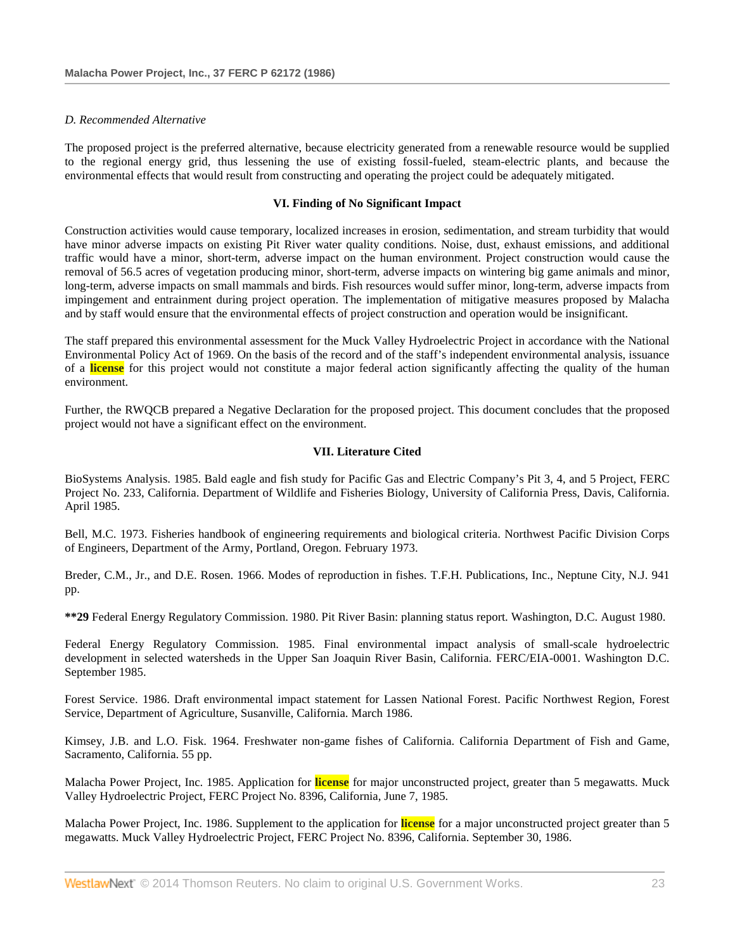### *D. Recommended Alternative*

The proposed project is the preferred alternative, because electricity generated from a renewable resource would be supplied to the regional energy grid, thus lessening the use of existing fossil-fueled, steam-electric plants, and because the environmental effects that would result from constructing and operating the project could be adequately mitigated.

#### **VI. Finding of No Significant Impact**

Construction activities would cause temporary, localized increases in erosion, sedimentation, and stream turbidity that would have minor adverse impacts on existing Pit River water quality conditions. Noise, dust, exhaust emissions, and additional traffic would have a minor, short-term, adverse impact on the human environment. Project construction would cause the removal of 56.5 acres of vegetation producing minor, short-term, adverse impacts on wintering big game animals and minor, long-term, adverse impacts on small mammals and birds. Fish resources would suffer minor, long-term, adverse impacts from impingement and entrainment during project operation. The implementation of mitigative measures proposed by Malacha and by staff would ensure that the environmental effects of project construction and operation would be insignificant.

The staff prepared this environmental assessment for the Muck Valley Hydroelectric Project in accordance with the National Environmental Policy Act of 1969. On the basis of the record and of the staff's independent environmental analysis, issuance of a **license** for this project would not constitute a major federal action significantly affecting the quality of the human environment.

Further, the RWQCB prepared a Negative Declaration for the proposed project. This document concludes that the proposed project would not have a significant effect on the environment.

### **VII. Literature Cited**

BioSystems Analysis. 1985. Bald eagle and fish study for Pacific Gas and Electric Company's Pit 3, 4, and 5 Project, FERC Project No. 233, California. Department of Wildlife and Fisheries Biology, University of California Press, Davis, California. April 1985.

Bell, M.C. 1973. Fisheries handbook of engineering requirements and biological criteria. Northwest Pacific Division Corps of Engineers, Department of the Army, Portland, Oregon. February 1973.

Breder, C.M., Jr., and D.E. Rosen. 1966. Modes of reproduction in fishes. T.F.H. Publications, Inc., Neptune City, N.J. 941 pp.

**\*\*29** Federal Energy Regulatory Commission. 1980. Pit River Basin: planning status report. Washington, D.C. August 1980.

Federal Energy Regulatory Commission. 1985. Final environmental impact analysis of small-scale hydroelectric development in selected watersheds in the Upper San Joaquin River Basin, California. FERC/EIA-0001. Washington D.C. September 1985.

Forest Service. 1986. Draft environmental impact statement for Lassen National Forest. Pacific Northwest Region, Forest Service, Department of Agriculture, Susanville, California. March 1986.

Kimsey, J.B. and L.O. Fisk. 1964. Freshwater non-game fishes of California. California Department of Fish and Game, Sacramento, California. 55 pp.

Malacha Power Project, Inc. 1985. Application for **license** for major unconstructed project, greater than 5 megawatts. Muck Valley Hydroelectric Project, FERC Project No. 8396, California, June 7, 1985.

Malacha Power Project, Inc. 1986. Supplement to the application for **license** for a major unconstructed project greater than 5 megawatts. Muck Valley Hydroelectric Project, FERC Project No. 8396, California. September 30, 1986.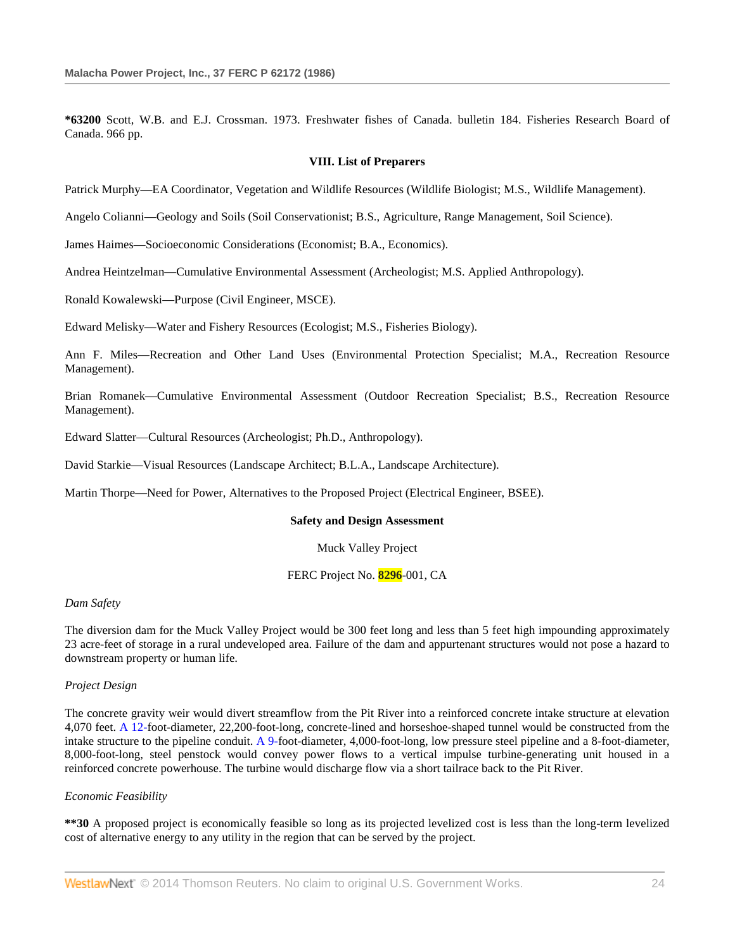**\*63200** Scott, W.B. and E.J. Crossman. 1973. Freshwater fishes of Canada. bulletin 184. Fisheries Research Board of Canada. 966 pp.

#### **VIII. List of Preparers**

Patrick Murphy—EA Coordinator, Vegetation and Wildlife Resources (Wildlife Biologist; M.S., Wildlife Management).

Angelo Colianni—Geology and Soils (Soil Conservationist; B.S., Agriculture, Range Management, Soil Science).

James Haimes—Socioeconomic Considerations (Economist; B.A., Economics).

Andrea Heintzelman—Cumulative Environmental Assessment (Archeologist; M.S. Applied Anthropology).

Ronald Kowalewski—Purpose (Civil Engineer, MSCE).

Edward Melisky—Water and Fishery Resources (Ecologist; M.S., Fisheries Biology).

Ann F. Miles—Recreation and Other Land Uses (Environmental Protection Specialist; M.A., Recreation Resource Management).

Brian Romanek—Cumulative Environmental Assessment (Outdoor Recreation Specialist; B.S., Recreation Resource Management).

Edward Slatter—Cultural Resources (Archeologist; Ph.D., Anthropology).

David Starkie—Visual Resources (Landscape Architect; B.L.A., Landscape Architecture).

Martin Thorpe—Need for Power, Alternatives to the Proposed Project (Electrical Engineer, BSEE).

#### **Safety and Design Assessment**

Muck Valley Project

FERC Project No. **8296**-001, CA

#### *Dam Safety*

The diversion dam for the Muck Valley Project would be 300 feet long and less than 5 feet high impounding approximately 23 acre-feet of storage in a rural undeveloped area. Failure of the dam and appurtenant structures would not pose a hazard to downstream property or human life.

#### *Project Design*

The concrete gravity weir would divert streamflow from the Pit River into a reinforced concrete intake structure at elevation 4,070 feet. [A 12-f](http://www.westlaw.com/Link/Document/FullText?findType=Y&pubNum=5304&cite=CGOA12&originationContext=document&vr=3.0&rs=cblt1.0&transitionType=DocumentItem&contextData=(sc.Search))oot-diameter, 22,200-foot-long, concrete-lined and horseshoe-shaped tunnel would be constructed from the intake structure to the pipeline conduit[. A 9-f](http://www.westlaw.com/Link/Document/FullText?findType=Y&pubNum=5304&cite=CGOA9&originationContext=document&vr=3.0&rs=cblt1.0&transitionType=DocumentItem&contextData=(sc.Search))oot-diameter, 4,000-foot-long, low pressure steel pipeline and a 8-foot-diameter, 8,000-foot-long, steel penstock would convey power flows to a vertical impulse turbine-generating unit housed in a reinforced concrete powerhouse. The turbine would discharge flow via a short tailrace back to the Pit River.

# *Economic Feasibility*

**\*\*30** A proposed project is economically feasible so long as its projected levelized cost is less than the long-term levelized cost of alternative energy to any utility in the region that can be served by the project.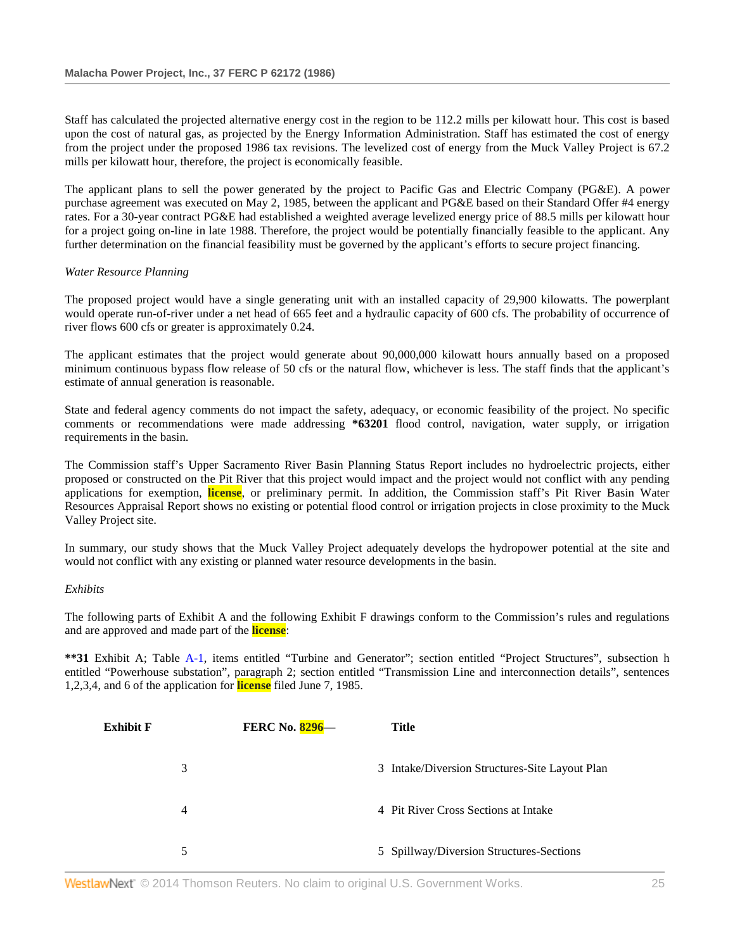Staff has calculated the projected alternative energy cost in the region to be 112.2 mills per kilowatt hour. This cost is based upon the cost of natural gas, as projected by the Energy Information Administration. Staff has estimated the cost of energy from the project under the proposed 1986 tax revisions. The levelized cost of energy from the Muck Valley Project is 67.2 mills per kilowatt hour, therefore, the project is economically feasible.

The applicant plans to sell the power generated by the project to Pacific Gas and Electric Company (PG&E). A power purchase agreement was executed on May 2, 1985, between the applicant and PG&E based on their Standard Offer #4 energy rates. For a 30-year contract PG&E had established a weighted average levelized energy price of 88.5 mills per kilowatt hour for a project going on-line in late 1988. Therefore, the project would be potentially financially feasible to the applicant. Any further determination on the financial feasibility must be governed by the applicant's efforts to secure project financing.

### *Water Resource Planning*

The proposed project would have a single generating unit with an installed capacity of 29,900 kilowatts. The powerplant would operate run-of-river under a net head of 665 feet and a hydraulic capacity of 600 cfs. The probability of occurrence of river flows 600 cfs or greater is approximately 0.24.

The applicant estimates that the project would generate about 90,000,000 kilowatt hours annually based on a proposed minimum continuous bypass flow release of 50 cfs or the natural flow, whichever is less. The staff finds that the applicant's estimate of annual generation is reasonable.

State and federal agency comments do not impact the safety, adequacy, or economic feasibility of the project. No specific comments or recommendations were made addressing **\*63201** flood control, navigation, water supply, or irrigation requirements in the basin.

The Commission staff's Upper Sacramento River Basin Planning Status Report includes no hydroelectric projects, either proposed or constructed on the Pit River that this project would impact and the project would not conflict with any pending applications for exemption, **license**, or preliminary permit. In addition, the Commission staff's Pit River Basin Water Resources Appraisal Report shows no existing or potential flood control or irrigation projects in close proximity to the Muck Valley Project site.

In summary, our study shows that the Muck Valley Project adequately develops the hydropower potential at the site and would not conflict with any existing or planned water resource developments in the basin.

### *Exhibits*

The following parts of Exhibit A and the following Exhibit F drawings conform to the Commission's rules and regulations and are approved and made part of the **license**:

**\*\*31** Exhibit A; Table [A-1,](http://www.westlaw.com/Link/Document/FullText?findType=Y&cite=CGOA1&originationContext=document&vr=3.0&rs=cblt1.0&transitionType=DocumentItem&contextData=(sc.Search)) items entitled "Turbine and Generator"; section entitled "Project Structures", subsection h entitled "Powerhouse substation", paragraph 2; section entitled "Transmission Line and interconnection details", sentences 1,2,3,4, and 6 of the application for **license** filed June 7, 1985.

| Exhibit F |   | <b>FERC No. 8296-</b> | <b>Title</b>                                   |
|-----------|---|-----------------------|------------------------------------------------|
|           | 3 |                       | 3 Intake/Diversion Structures-Site Layout Plan |
|           | 4 |                       | 4 Pit River Cross Sections at Intake           |
|           | 5 |                       | 5 Spillway/Diversion Structures-Sections       |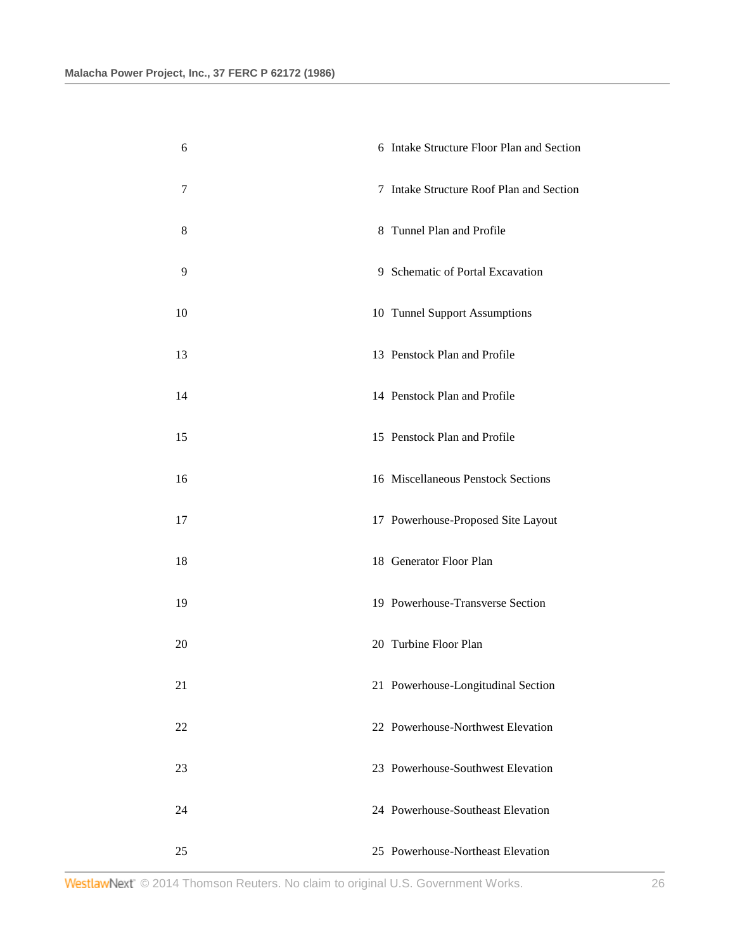| 6  | 6 Intake Structure Floor Plan and Section |
|----|-------------------------------------------|
| 7  | 7 Intake Structure Roof Plan and Section  |
| 8  | 8 Tunnel Plan and Profile                 |
| 9  | 9 Schematic of Portal Excavation          |
| 10 | 10 Tunnel Support Assumptions             |
| 13 | 13 Penstock Plan and Profile              |
| 14 | 14 Penstock Plan and Profile              |
| 15 | 15 Penstock Plan and Profile              |
| 16 | 16 Miscellaneous Penstock Sections        |
| 17 | 17 Powerhouse-Proposed Site Layout        |
| 18 | 18 Generator Floor Plan                   |
| 19 | 19 Powerhouse-Transverse Section          |
| 20 | 20 Turbine Floor Plan                     |
| 21 | 21 Powerhouse-Longitudinal Section        |
| 22 | 22 Powerhouse-Northwest Elevation         |
| 23 | 23 Powerhouse-Southwest Elevation         |
| 24 | 24 Powerhouse-Southeast Elevation         |
| 25 | 25 Powerhouse-Northeast Elevation         |